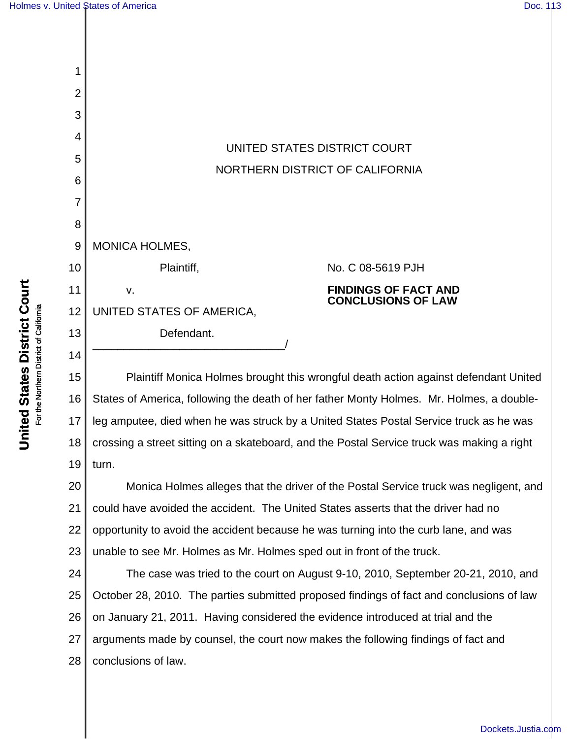**United States District Court** For the Northern District of California

**United States District Court** For the Northern District of California

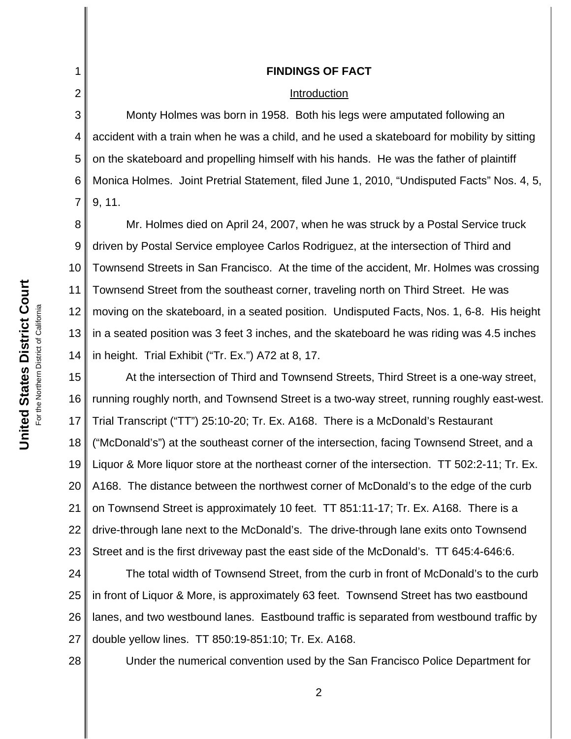#### Introduction

3 4 5 6 7 Monty Holmes was born in 1958. Both his legs were amputated following an accident with a train when he was a child, and he used a skateboard for mobility by sitting on the skateboard and propelling himself with his hands. He was the father of plaintiff Monica Holmes. Joint Pretrial Statement, filed June 1, 2010, "Undisputed Facts" Nos. 4, 5, 9, 11.

8 9 10 11 12 13 14 Mr. Holmes died on April 24, 2007, when he was struck by a Postal Service truck driven by Postal Service employee Carlos Rodriguez, at the intersection of Third and Townsend Streets in San Francisco. At the time of the accident, Mr. Holmes was crossing Townsend Street from the southeast corner, traveling north on Third Street. He was moving on the skateboard, in a seated position. Undisputed Facts, Nos. 1, 6-8. His height in a seated position was 3 feet 3 inches, and the skateboard he was riding was 4.5 inches in height. Trial Exhibit ("Tr. Ex.") A72 at 8, 17.

15 16 17 18 19 20 21 22 23 At the intersection of Third and Townsend Streets, Third Street is a one-way street, running roughly north, and Townsend Street is a two-way street, running roughly east-west. Trial Transcript ("TT") 25:10-20; Tr. Ex. A168. There is a McDonald's Restaurant ("McDonald's") at the southeast corner of the intersection, facing Townsend Street, and a Liquor & More liquor store at the northeast corner of the intersection. TT 502:2-11; Tr. Ex. A168. The distance between the northwest corner of McDonald's to the edge of the curb on Townsend Street is approximately 10 feet. TT 851:11-17; Tr. Ex. A168. There is a drive-through lane next to the McDonald's. The drive-through lane exits onto Townsend Street and is the first driveway past the east side of the McDonald's. TT 645:4-646:6.

24 25 26 27 The total width of Townsend Street, from the curb in front of McDonald's to the curb in front of Liquor & More, is approximately 63 feet. Townsend Street has two eastbound lanes, and two westbound lanes. Eastbound traffic is separated from westbound traffic by double yellow lines. TT 850:19-851:10; Tr. Ex. A168.

28

Under the numerical convention used by the San Francisco Police Department for

1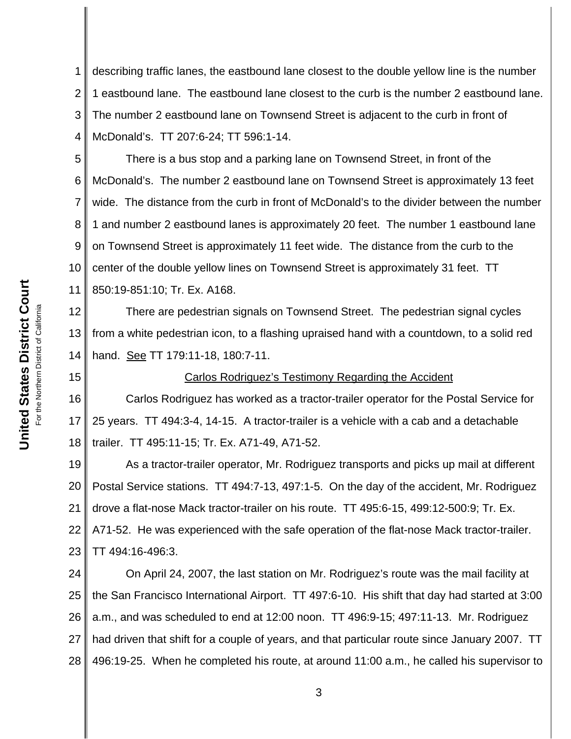## Carlos Rodriguez's Testimony Regarding the Accident

17 18 Carlos Rodriguez has worked as a tractor-trailer operator for the Postal Service for 25 years. TT 494:3-4, 14-15. A tractor-trailer is a vehicle with a cab and a detachable trailer. TT 495:11-15; Tr. Ex. A71-49, A71-52.

19 20 21 22 23 As a tractor-trailer operator, Mr. Rodriguez transports and picks up mail at different Postal Service stations. TT 494:7-13, 497:1-5. On the day of the accident, Mr. Rodriguez drove a flat-nose Mack tractor-trailer on his route. TT 495:6-15, 499:12-500:9; Tr. Ex. A71-52. He was experienced with the safe operation of the flat-nose Mack tractor-trailer. TT 494:16-496:3.

24 25 26 27 28 On April 24, 2007, the last station on Mr. Rodriguez's route was the mail facility at the San Francisco International Airport. TT 497:6-10. His shift that day had started at 3:00 a.m., and was scheduled to end at 12:00 noon. TT 496:9-15; 497:11-13. Mr. Rodriguez had driven that shift for a couple of years, and that particular route since January 2007. TT 496:19-25. When he completed his route, at around 11:00 a.m., he called his supervisor to

1 2 3 4 describing traffic lanes, the eastbound lane closest to the double yellow line is the number 1 eastbound lane. The eastbound lane closest to the curb is the number 2 eastbound lane. The number 2 eastbound lane on Townsend Street is adjacent to the curb in front of McDonald's. TT 207:6-24; TT 596:1-14.

There is a bus stop and a parking lane on Townsend Street, in front of the

McDonald's. The number 2 eastbound lane on Townsend Street is approximately 13 feet

wide. The distance from the curb in front of McDonald's to the divider between the number

1 and number 2 eastbound lanes is approximately 20 feet. The number 1 eastbound lane on Townsend Street is approximately 11 feet wide. The distance from the curb to the center of the double yellow lines on Townsend Street is approximately 31 feet. TT United States District Court **United States District Court** 850:19-851:10; Tr. Ex. A168. For the Northern District of California For the Northern District of California There are pedestrian signals on Townsend Street. The pedestrian signal cycles from a white pedestrian icon, to a flashing upraised hand with a countdown, to a solid red hand. See TT 179:11-18, 180:7-11. 15 16

5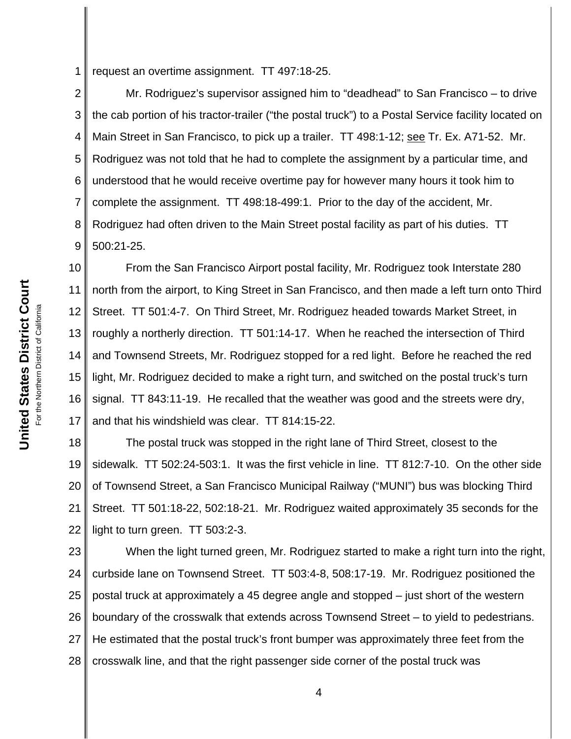1 request an overtime assignment. TT 497:18-25.

2 3 4 5 6 7 8 9 Mr. Rodriguez's supervisor assigned him to "deadhead" to San Francisco – to drive the cab portion of his tractor-trailer ("the postal truck") to a Postal Service facility located on Main Street in San Francisco, to pick up a trailer. TT 498:1-12; see Tr. Ex. A71-52. Mr. Rodriguez was not told that he had to complete the assignment by a particular time, and understood that he would receive overtime pay for however many hours it took him to complete the assignment. TT 498:18-499:1. Prior to the day of the accident, Mr. Rodriguez had often driven to the Main Street postal facility as part of his duties. TT 500:21-25.

10 11 12 13 14 15 16 17 From the San Francisco Airport postal facility, Mr. Rodriguez took Interstate 280 north from the airport, to King Street in San Francisco, and then made a left turn onto Third Street. TT 501:4-7. On Third Street, Mr. Rodriguez headed towards Market Street, in roughly a northerly direction. TT 501:14-17. When he reached the intersection of Third and Townsend Streets, Mr. Rodriguez stopped for a red light. Before he reached the red light, Mr. Rodriguez decided to make a right turn, and switched on the postal truck's turn signal. TT 843:11-19. He recalled that the weather was good and the streets were dry, and that his windshield was clear. TT 814:15-22.

18 19 20 21 22 The postal truck was stopped in the right lane of Third Street, closest to the sidewalk. TT 502:24-503:1. It was the first vehicle in line. TT 812:7-10. On the other side of Townsend Street, a San Francisco Municipal Railway ("MUNI") bus was blocking Third Street. TT 501:18-22, 502:18-21. Mr. Rodriguez waited approximately 35 seconds for the light to turn green. TT 503:2-3.

23 24 25 26 27 28 When the light turned green, Mr. Rodriguez started to make a right turn into the right, curbside lane on Townsend Street. TT 503:4-8, 508:17-19. Mr. Rodriguez positioned the postal truck at approximately a 45 degree angle and stopped – just short of the western boundary of the crosswalk that extends across Townsend Street – to yield to pedestrians. He estimated that the postal truck's front bumper was approximately three feet from the crosswalk line, and that the right passenger side corner of the postal truck was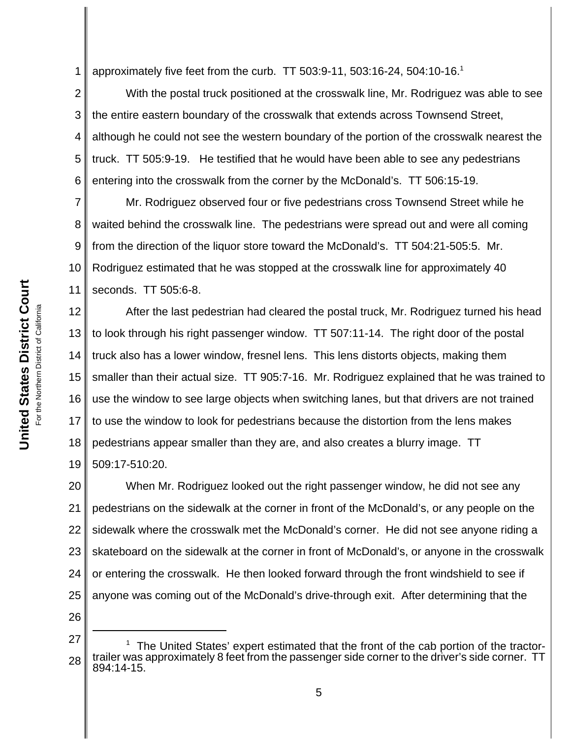1 approximately five feet from the curb. TT 503:9-11, 503:16-24, 504:10-16.<sup>1</sup>

2 3 4 5 6 With the postal truck positioned at the crosswalk line, Mr. Rodriguez was able to see the entire eastern boundary of the crosswalk that extends across Townsend Street, although he could not see the western boundary of the portion of the crosswalk nearest the truck. TT 505:9-19. He testified that he would have been able to see any pedestrians entering into the crosswalk from the corner by the McDonald's. TT 506:15-19.

7 8 9 10 11 Mr. Rodriguez observed four or five pedestrians cross Townsend Street while he waited behind the crosswalk line. The pedestrians were spread out and were all coming from the direction of the liquor store toward the McDonald's. TT 504:21-505:5. Mr. Rodriguez estimated that he was stopped at the crosswalk line for approximately 40 seconds. TT 505:6-8.

12 13 14 15 16 17 18 19 After the last pedestrian had cleared the postal truck, Mr. Rodriguez turned his head to look through his right passenger window. TT 507:11-14. The right door of the postal truck also has a lower window, fresnel lens. This lens distorts objects, making them smaller than their actual size. TT 905:7-16. Mr. Rodriguez explained that he was trained to use the window to see large objects when switching lanes, but that drivers are not trained to use the window to look for pedestrians because the distortion from the lens makes pedestrians appear smaller than they are, and also creates a blurry image. TT 509:17-510:20.

20 21 22 23 24 25 When Mr. Rodriguez looked out the right passenger window, he did not see any pedestrians on the sidewalk at the corner in front of the McDonald's, or any people on the sidewalk where the crosswalk met the McDonald's corner. He did not see anyone riding a skateboard on the sidewalk at the corner in front of McDonald's, or anyone in the crosswalk or entering the crosswalk. He then looked forward through the front windshield to see if anyone was coming out of the McDonald's drive-through exit. After determining that the

26

<sup>27</sup> 28  $1$  The United States' expert estimated that the front of the cab portion of the tractortrailer was approximately 8 feet from the passenger side corner to the driver's side corner. TT 894:14-15.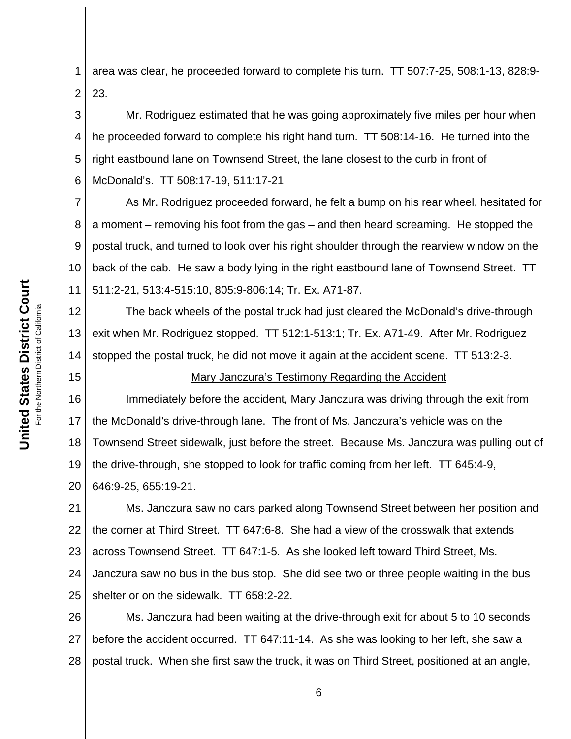15

1 2 area was clear, he proceeded forward to complete his turn. TT 507:7-25, 508:1-13, 828:9- 23.

3 4 5 6 Mr. Rodriguez estimated that he was going approximately five miles per hour when he proceeded forward to complete his right hand turn. TT 508:14-16. He turned into the right eastbound lane on Townsend Street, the lane closest to the curb in front of McDonald's. TT 508:17-19, 511:17-21

7 8 9 10 11 As Mr. Rodriguez proceeded forward, he felt a bump on his rear wheel, hesitated for a moment – removing his foot from the gas – and then heard screaming. He stopped the postal truck, and turned to look over his right shoulder through the rearview window on the back of the cab. He saw a body lying in the right eastbound lane of Townsend Street. TT 511:2-21, 513:4-515:10, 805:9-806:14; Tr. Ex. A71-87.

12 13 14 The back wheels of the postal truck had just cleared the McDonald's drive-through exit when Mr. Rodriguez stopped. TT 512:1-513:1; Tr. Ex. A71-49. After Mr. Rodriguez stopped the postal truck, he did not move it again at the accident scene. TT 513:2-3.

## Mary Janczura's Testimony Regarding the Accident

16 17 18 19 20 Immediately before the accident, Mary Janczura was driving through the exit from the McDonald's drive-through lane. The front of Ms. Janczura's vehicle was on the Townsend Street sidewalk, just before the street. Because Ms. Janczura was pulling out of the drive-through, she stopped to look for traffic coming from her left. TT 645:4-9, 646:9-25, 655:19-21.

21 22 23 24 25 Ms. Janczura saw no cars parked along Townsend Street between her position and the corner at Third Street. TT 647:6-8. She had a view of the crosswalk that extends across Townsend Street. TT 647:1-5. As she looked left toward Third Street, Ms. Janczura saw no bus in the bus stop. She did see two or three people waiting in the bus shelter or on the sidewalk. TT 658:2-22.

26 27 28 Ms. Janczura had been waiting at the drive-through exit for about 5 to 10 seconds before the accident occurred. TT 647:11-14. As she was looking to her left, she saw a postal truck. When she first saw the truck, it was on Third Street, positioned at an angle,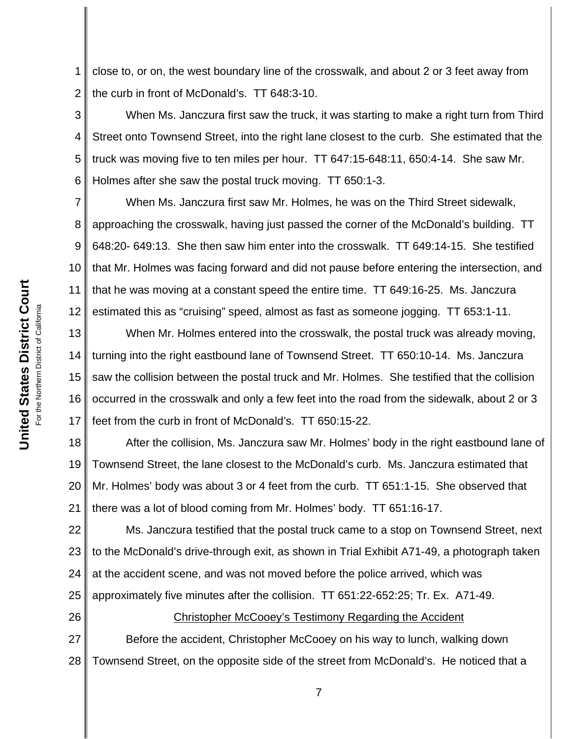1 2 close to, or on, the west boundary line of the crosswalk, and about 2 or 3 feet away from the curb in front of McDonald's. TT 648:3-10.

3 4 5 6 When Ms. Janczura first saw the truck, it was starting to make a right turn from Third Street onto Townsend Street, into the right lane closest to the curb. She estimated that the truck was moving five to ten miles per hour. TT 647:15-648:11, 650:4-14. She saw Mr. Holmes after she saw the postal truck moving. TT 650:1-3.

7 8 9 10 11 12 When Ms. Janczura first saw Mr. Holmes, he was on the Third Street sidewalk, approaching the crosswalk, having just passed the corner of the McDonald's building. TT 648:20- 649:13. She then saw him enter into the crosswalk. TT 649:14-15. She testified that Mr. Holmes was facing forward and did not pause before entering the intersection, and that he was moving at a constant speed the entire time. TT 649:16-25. Ms. Janczura estimated this as "cruising" speed, almost as fast as someone jogging. TT 653:1-11.

13 14 15 16 17 When Mr. Holmes entered into the crosswalk, the postal truck was already moving, turning into the right eastbound lane of Townsend Street. TT 650:10-14. Ms. Janczura saw the collision between the postal truck and Mr. Holmes. She testified that the collision occurred in the crosswalk and only a few feet into the road from the sidewalk, about 2 or 3 feet from the curb in front of McDonald's. TT 650:15-22.

18 19 20 21 After the collision, Ms. Janczura saw Mr. Holmes' body in the right eastbound lane of Townsend Street, the lane closest to the McDonald's curb. Ms. Janczura estimated that Mr. Holmes' body was about 3 or 4 feet from the curb. TT 651:1-15. She observed that there was a lot of blood coming from Mr. Holmes' body. TT 651:16-17.

22 23 24 25 Ms. Janczura testified that the postal truck came to a stop on Townsend Street, next to the McDonald's drive-through exit, as shown in Trial Exhibit A71-49, a photograph taken at the accident scene, and was not moved before the police arrived, which was approximately five minutes after the collision. TT 651:22-652:25; Tr. Ex. A71-49.

26 27 28 Christopher McCooey's Testimony Regarding the Accident Before the accident, Christopher McCooey on his way to lunch, walking down Townsend Street, on the opposite side of the street from McDonald's. He noticed that a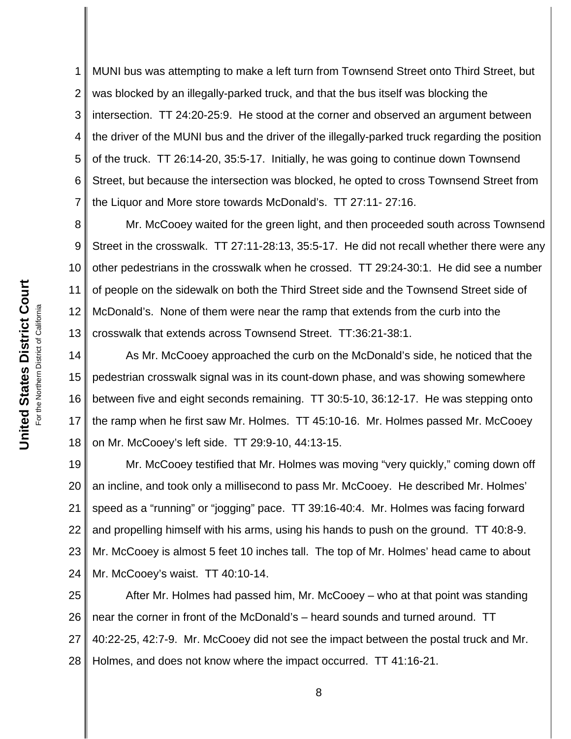1 2 3 4 5 6 7 MUNI bus was attempting to make a left turn from Townsend Street onto Third Street, but was blocked by an illegally-parked truck, and that the bus itself was blocking the intersection. TT 24:20-25:9. He stood at the corner and observed an argument between the driver of the MUNI bus and the driver of the illegally-parked truck regarding the position of the truck. TT 26:14-20, 35:5-17. Initially, he was going to continue down Townsend Street, but because the intersection was blocked, he opted to cross Townsend Street from the Liquor and More store towards McDonald's. TT 27:11- 27:16.

8 9 10 11 12 13 Mr. McCooey waited for the green light, and then proceeded south across Townsend Street in the crosswalk. TT 27:11-28:13, 35:5-17. He did not recall whether there were any other pedestrians in the crosswalk when he crossed. TT 29:24-30:1. He did see a number of people on the sidewalk on both the Third Street side and the Townsend Street side of McDonald's. None of them were near the ramp that extends from the curb into the crosswalk that extends across Townsend Street. TT:36:21-38:1.

14 15 16 17 18 As Mr. McCooey approached the curb on the McDonald's side, he noticed that the pedestrian crosswalk signal was in its count-down phase, and was showing somewhere between five and eight seconds remaining. TT 30:5-10, 36:12-17. He was stepping onto the ramp when he first saw Mr. Holmes. TT 45:10-16. Mr. Holmes passed Mr. McCooey on Mr. McCooey's left side. TT 29:9-10, 44:13-15.

19 20 21 22 23 24 Mr. McCooey testified that Mr. Holmes was moving "very quickly," coming down off an incline, and took only a millisecond to pass Mr. McCooey. He described Mr. Holmes' speed as a "running" or "jogging" pace. TT 39:16-40:4. Mr. Holmes was facing forward and propelling himself with his arms, using his hands to push on the ground. TT 40:8-9. Mr. McCooey is almost 5 feet 10 inches tall. The top of Mr. Holmes' head came to about Mr. McCooey's waist. TT 40:10-14.

25 26 27 28 After Mr. Holmes had passed him, Mr. McCooey – who at that point was standing near the corner in front of the McDonald's – heard sounds and turned around. TT 40:22-25, 42:7-9. Mr. McCooey did not see the impact between the postal truck and Mr. Holmes, and does not know where the impact occurred. TT 41:16-21.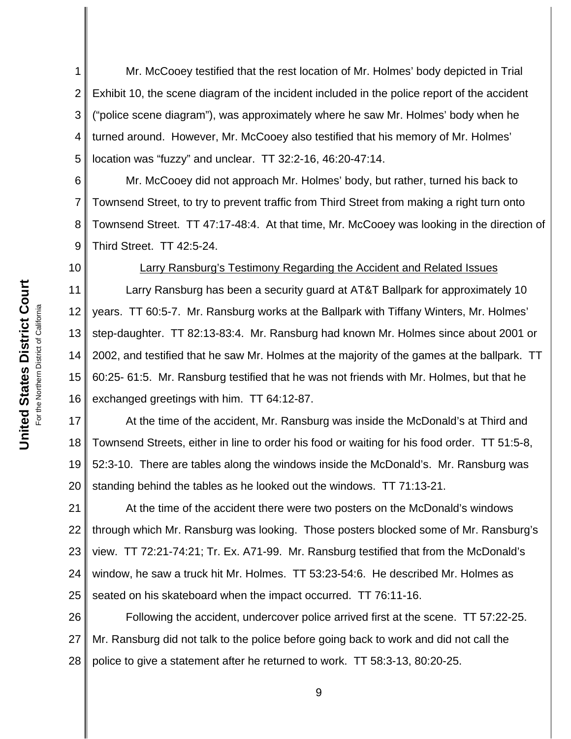1 2 3 4 5 Mr. McCooey testified that the rest location of Mr. Holmes' body depicted in Trial Exhibit 10, the scene diagram of the incident included in the police report of the accident ("police scene diagram"), was approximately where he saw Mr. Holmes' body when he turned around. However, Mr. McCooey also testified that his memory of Mr. Holmes' location was "fuzzy" and unclear. TT 32:2-16, 46:20-47:14.

6 7 8 9 Mr. McCooey did not approach Mr. Holmes' body, but rather, turned his back to Townsend Street, to try to prevent traffic from Third Street from making a right turn onto Townsend Street. TT 47:17-48:4. At that time, Mr. McCooey was looking in the direction of Third Street. TT 42:5-24.

10

#### Larry Ransburg's Testimony Regarding the Accident and Related Issues

11 12 13 14 15 16 Larry Ransburg has been a security guard at AT&T Ballpark for approximately 10 years. TT 60:5-7. Mr. Ransburg works at the Ballpark with Tiffany Winters, Mr. Holmes' step-daughter. TT 82:13-83:4. Mr. Ransburg had known Mr. Holmes since about 2001 or 2002, and testified that he saw Mr. Holmes at the majority of the games at the ballpark. TT 60:25- 61:5. Mr. Ransburg testified that he was not friends with Mr. Holmes, but that he exchanged greetings with him. TT 64:12-87.

17 18 19 20 At the time of the accident, Mr. Ransburg was inside the McDonald's at Third and Townsend Streets, either in line to order his food or waiting for his food order. TT 51:5-8, 52:3-10. There are tables along the windows inside the McDonald's. Mr. Ransburg was standing behind the tables as he looked out the windows. TT 71:13-21.

21 22 23 24 25 At the time of the accident there were two posters on the McDonald's windows through which Mr. Ransburg was looking. Those posters blocked some of Mr. Ransburg's view. TT 72:21-74:21; Tr. Ex. A71-99. Mr. Ransburg testified that from the McDonald's window, he saw a truck hit Mr. Holmes. TT 53:23-54:6. He described Mr. Holmes as seated on his skateboard when the impact occurred. TT 76:11-16.

26 27 28 Following the accident, undercover police arrived first at the scene. TT 57:22-25. Mr. Ransburg did not talk to the police before going back to work and did not call the police to give a statement after he returned to work. TT 58:3-13, 80:20-25.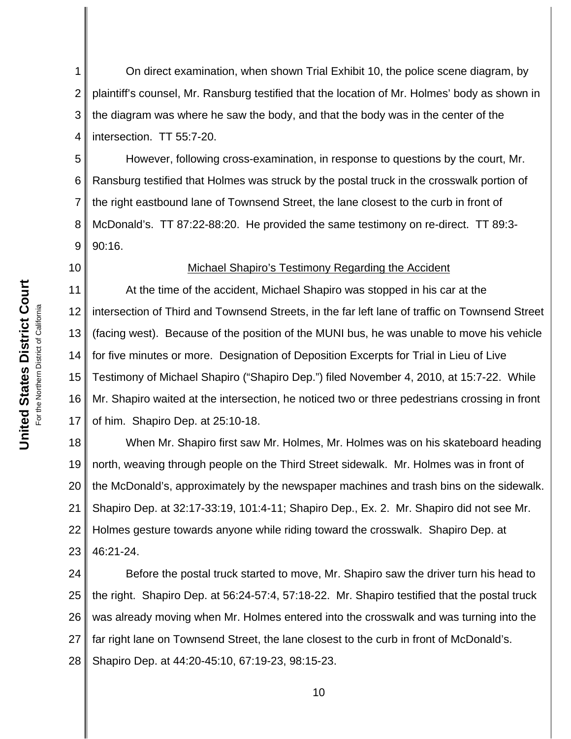1 2 3 4 On direct examination, when shown Trial Exhibit 10, the police scene diagram, by plaintiff's counsel, Mr. Ransburg testified that the location of Mr. Holmes' body as shown in the diagram was where he saw the body, and that the body was in the center of the intersection. TT 55:7-20.

5 6 7 8 9 However, following cross-examination, in response to questions by the court, Mr. Ransburg testified that Holmes was struck by the postal truck in the crosswalk portion of the right eastbound lane of Townsend Street, the lane closest to the curb in front of McDonald's. TT 87:22-88:20. He provided the same testimony on re-direct. TT 89:3- 90:16.

# 10

## Michael Shapiro's Testimony Regarding the Accident

11 12 13 14 15 16 17 At the time of the accident, Michael Shapiro was stopped in his car at the intersection of Third and Townsend Streets, in the far left lane of traffic on Townsend Street (facing west). Because of the position of the MUNI bus, he was unable to move his vehicle for five minutes or more. Designation of Deposition Excerpts for Trial in Lieu of Live Testimony of Michael Shapiro ("Shapiro Dep.") filed November 4, 2010, at 15:7-22. While Mr. Shapiro waited at the intersection, he noticed two or three pedestrians crossing in front of him. Shapiro Dep. at 25:10-18.

18 19 20 21 22 23 When Mr. Shapiro first saw Mr. Holmes, Mr. Holmes was on his skateboard heading north, weaving through people on the Third Street sidewalk. Mr. Holmes was in front of the McDonald's, approximately by the newspaper machines and trash bins on the sidewalk. Shapiro Dep. at 32:17-33:19, 101:4-11; Shapiro Dep., Ex. 2. Mr. Shapiro did not see Mr. Holmes gesture towards anyone while riding toward the crosswalk. Shapiro Dep. at 46:21-24.

24 25 26 27 28 Before the postal truck started to move, Mr. Shapiro saw the driver turn his head to the right. Shapiro Dep. at 56:24-57:4, 57:18-22. Mr. Shapiro testified that the postal truck was already moving when Mr. Holmes entered into the crosswalk and was turning into the far right lane on Townsend Street, the lane closest to the curb in front of McDonald's. Shapiro Dep. at 44:20-45:10, 67:19-23, 98:15-23.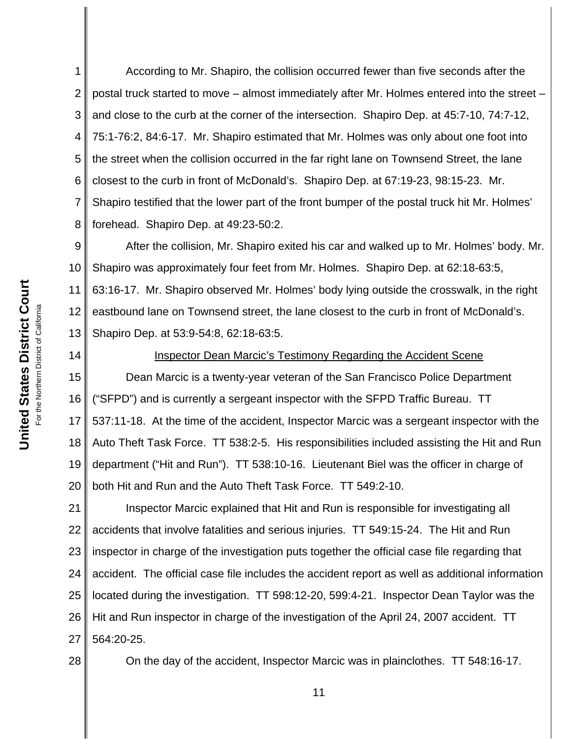1 2 3 4 5 6 7 8 According to Mr. Shapiro, the collision occurred fewer than five seconds after the postal truck started to move – almost immediately after Mr. Holmes entered into the street – and close to the curb at the corner of the intersection. Shapiro Dep. at 45:7-10, 74:7-12, 75:1-76:2, 84:6-17. Mr. Shapiro estimated that Mr. Holmes was only about one foot into the street when the collision occurred in the far right lane on Townsend Street, the lane closest to the curb in front of McDonald's. Shapiro Dep. at 67:19-23, 98:15-23. Mr. Shapiro testified that the lower part of the front bumper of the postal truck hit Mr. Holmes' forehead. Shapiro Dep. at 49:23-50:2.

9 10 11 12 13 After the collision, Mr. Shapiro exited his car and walked up to Mr. Holmes' body. Mr. Shapiro was approximately four feet from Mr. Holmes. Shapiro Dep. at 62:18-63:5, 63:16-17. Mr. Shapiro observed Mr. Holmes' body lying outside the crosswalk, in the right eastbound lane on Townsend street, the lane closest to the curb in front of McDonald's. Shapiro Dep. at 53:9-54:8, 62:18-63:5.

14

#### Inspector Dean Marcic's Testimony Regarding the Accident Scene

15 16 17 18 19 20 Dean Marcic is a twenty-year veteran of the San Francisco Police Department ("SFPD") and is currently a sergeant inspector with the SFPD Traffic Bureau. TT 537:11-18. At the time of the accident, Inspector Marcic was a sergeant inspector with the Auto Theft Task Force. TT 538:2-5. His responsibilities included assisting the Hit and Run department ("Hit and Run"). TT 538:10-16. Lieutenant Biel was the officer in charge of both Hit and Run and the Auto Theft Task Force. TT 549:2-10.

21 22 23 24 25 26 27 Inspector Marcic explained that Hit and Run is responsible for investigating all accidents that involve fatalities and serious injuries. TT 549:15-24. The Hit and Run inspector in charge of the investigation puts together the official case file regarding that accident. The official case file includes the accident report as well as additional information located during the investigation. TT 598:12-20, 599:4-21. Inspector Dean Taylor was the Hit and Run inspector in charge of the investigation of the April 24, 2007 accident. TT 564:20-25.

28

On the day of the accident, Inspector Marcic was in plainclothes. TT 548:16-17.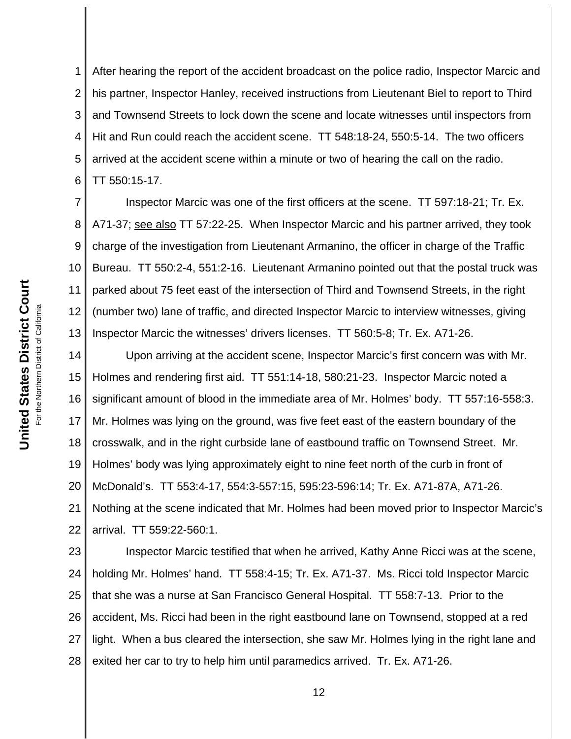1 2 3 4 5 6 After hearing the report of the accident broadcast on the police radio, Inspector Marcic and his partner, Inspector Hanley, received instructions from Lieutenant Biel to report to Third and Townsend Streets to lock down the scene and locate witnesses until inspectors from Hit and Run could reach the accident scene. TT 548:18-24, 550:5-14. The two officers arrived at the accident scene within a minute or two of hearing the call on the radio. TT 550:15-17.

7 8 9 10 11 12 13 Inspector Marcic was one of the first officers at the scene. TT 597:18-21; Tr. Ex. A71-37; see also TT 57:22-25. When Inspector Marcic and his partner arrived, they took charge of the investigation from Lieutenant Armanino, the officer in charge of the Traffic Bureau. TT 550:2-4, 551:2-16. Lieutenant Armanino pointed out that the postal truck was parked about 75 feet east of the intersection of Third and Townsend Streets, in the right (number two) lane of traffic, and directed Inspector Marcic to interview witnesses, giving Inspector Marcic the witnesses' drivers licenses. TT 560:5-8; Tr. Ex. A71-26.

14 15 16 17 18 19 20 21 22 Upon arriving at the accident scene, Inspector Marcic's first concern was with Mr. Holmes and rendering first aid. TT 551:14-18, 580:21-23. Inspector Marcic noted a significant amount of blood in the immediate area of Mr. Holmes' body. TT 557:16-558:3. Mr. Holmes was lying on the ground, was five feet east of the eastern boundary of the crosswalk, and in the right curbside lane of eastbound traffic on Townsend Street. Mr. Holmes' body was lying approximately eight to nine feet north of the curb in front of McDonald's. TT 553:4-17, 554:3-557:15, 595:23-596:14; Tr. Ex. A71-87A, A71-26. Nothing at the scene indicated that Mr. Holmes had been moved prior to Inspector Marcic's arrival. TT 559:22-560:1.

23 24 25 26 27 28 Inspector Marcic testified that when he arrived, Kathy Anne Ricci was at the scene, holding Mr. Holmes' hand. TT 558:4-15; Tr. Ex. A71-37. Ms. Ricci told Inspector Marcic that she was a nurse at San Francisco General Hospital. TT 558:7-13. Prior to the accident, Ms. Ricci had been in the right eastbound lane on Townsend, stopped at a red light. When a bus cleared the intersection, she saw Mr. Holmes lying in the right lane and exited her car to try to help him until paramedics arrived. Tr. Ex. A71-26.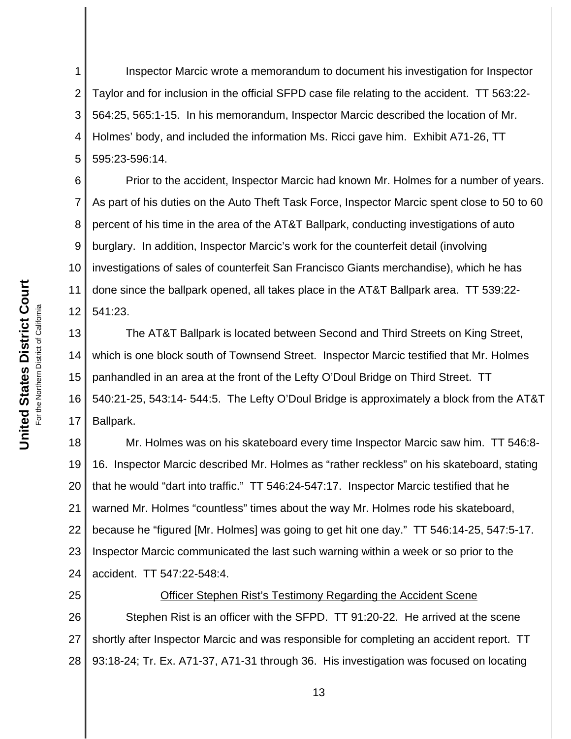1 2 3 4 5 Inspector Marcic wrote a memorandum to document his investigation for Inspector Taylor and for inclusion in the official SFPD case file relating to the accident. TT 563:22- 564:25, 565:1-15. In his memorandum, Inspector Marcic described the location of Mr. Holmes' body, and included the information Ms. Ricci gave him. Exhibit A71-26, TT 595:23-596:14.

6 7 8 9 10 11 12 Prior to the accident, Inspector Marcic had known Mr. Holmes for a number of years. As part of his duties on the Auto Theft Task Force, Inspector Marcic spent close to 50 to 60 percent of his time in the area of the AT&T Ballpark, conducting investigations of auto burglary. In addition, Inspector Marcic's work for the counterfeit detail (involving investigations of sales of counterfeit San Francisco Giants merchandise), which he has done since the ballpark opened, all takes place in the AT&T Ballpark area. TT 539:22- 541:23.

13 14 15 16 17 The AT&T Ballpark is located between Second and Third Streets on King Street, which is one block south of Townsend Street. Inspector Marcic testified that Mr. Holmes panhandled in an area at the front of the Lefty O'Doul Bridge on Third Street. TT 540:21-25, 543:14- 544:5. The Lefty O'Doul Bridge is approximately a block from the AT&T Ballpark.

18 19 20 21 22 23 24 Mr. Holmes was on his skateboard every time Inspector Marcic saw him. TT 546:8- 16. Inspector Marcic described Mr. Holmes as "rather reckless" on his skateboard, stating that he would "dart into traffic." TT 546:24-547:17. Inspector Marcic testified that he warned Mr. Holmes "countless" times about the way Mr. Holmes rode his skateboard, because he "figured [Mr. Holmes] was going to get hit one day." TT 546:14-25, 547:5-17. Inspector Marcic communicated the last such warning within a week or so prior to the accident. TT 547:22-548:4.

25 26 27 28 Officer Stephen Rist's Testimony Regarding the Accident Scene Stephen Rist is an officer with the SFPD. TT 91:20-22. He arrived at the scene shortly after Inspector Marcic and was responsible for completing an accident report. TT 93:18-24; Tr. Ex. A71-37, A71-31 through 36. His investigation was focused on locating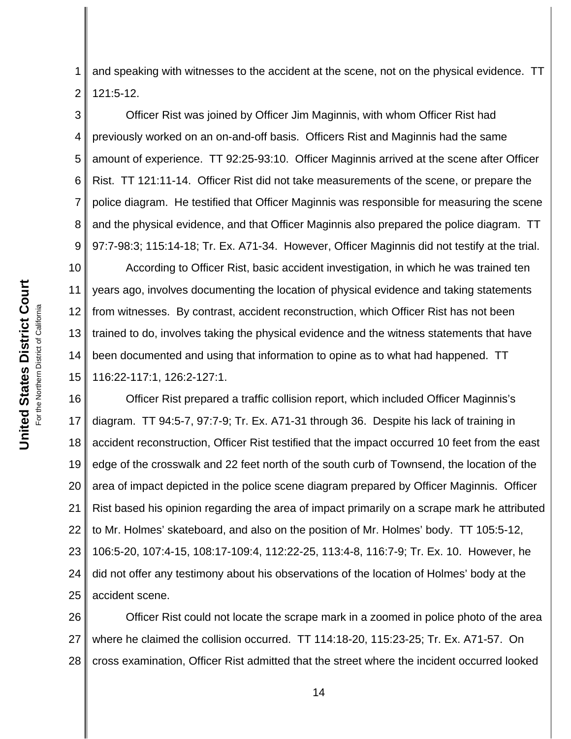United States District Court **United States District Court** For the Northern District of California For the Northern District of California

1 2 and speaking with witnesses to the accident at the scene, not on the physical evidence. TT 121:5-12.

3 4 5 6 7 8 9 Officer Rist was joined by Officer Jim Maginnis, with whom Officer Rist had previously worked on an on-and-off basis. Officers Rist and Maginnis had the same amount of experience. TT 92:25-93:10. Officer Maginnis arrived at the scene after Officer Rist. TT 121:11-14. Officer Rist did not take measurements of the scene, or prepare the police diagram. He testified that Officer Maginnis was responsible for measuring the scene and the physical evidence, and that Officer Maginnis also prepared the police diagram. TT 97:7-98:3; 115:14-18; Tr. Ex. A71-34. However, Officer Maginnis did not testify at the trial.

10 11 12 13 14 15 According to Officer Rist, basic accident investigation, in which he was trained ten years ago, involves documenting the location of physical evidence and taking statements from witnesses. By contrast, accident reconstruction, which Officer Rist has not been trained to do, involves taking the physical evidence and the witness statements that have been documented and using that information to opine as to what had happened. TT 116:22-117:1, 126:2-127:1.

16 17 18 19 20 21 22 23 24 25 Officer Rist prepared a traffic collision report, which included Officer Maginnis's diagram. TT 94:5-7, 97:7-9; Tr. Ex. A71-31 through 36. Despite his lack of training in accident reconstruction, Officer Rist testified that the impact occurred 10 feet from the east edge of the crosswalk and 22 feet north of the south curb of Townsend, the location of the area of impact depicted in the police scene diagram prepared by Officer Maginnis. Officer Rist based his opinion regarding the area of impact primarily on a scrape mark he attributed to Mr. Holmes' skateboard, and also on the position of Mr. Holmes' body. TT 105:5-12, 106:5-20, 107:4-15, 108:17-109:4, 112:22-25, 113:4-8, 116:7-9; Tr. Ex. 10. However, he did not offer any testimony about his observations of the location of Holmes' body at the accident scene.

26 27 28 Officer Rist could not locate the scrape mark in a zoomed in police photo of the area where he claimed the collision occurred. TT 114:18-20, 115:23-25; Tr. Ex. A71-57. On cross examination, Officer Rist admitted that the street where the incident occurred looked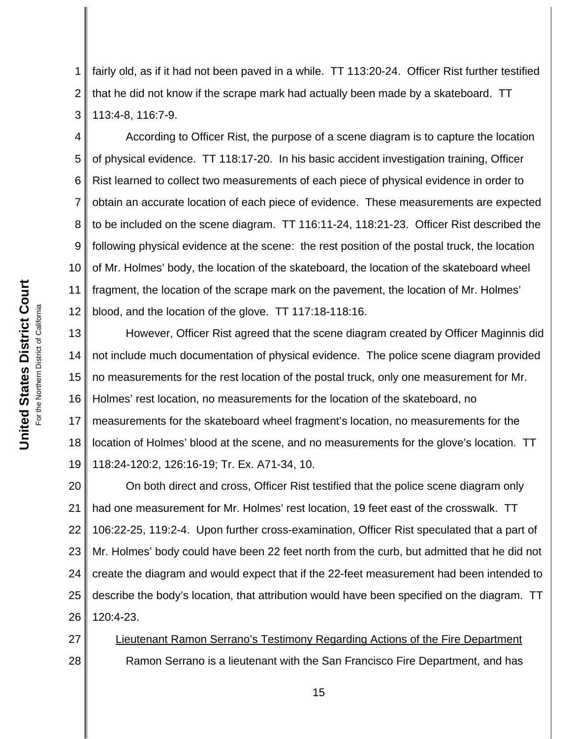1 2 3 fairly old, as if it had not been paved in a while. TT 113:20-24. Officer Rist further testified that he did not know if the scrape mark had actually been made by a skateboard. TT 113:4-8, 116:7-9.

4 5 6 7 8 9 10 11 12 According to Officer Rist, the purpose of a scene diagram is to capture the location of physical evidence. TT 118:17-20. In his basic accident investigation training, Officer Rist learned to collect two measurements of each piece of physical evidence in order to obtain an accurate location of each piece of evidence. These measurements are expected to be included on the scene diagram. TT 116:11-24, 118:21-23. Officer Rist described the following physical evidence at the scene: the rest position of the postal truck, the location of Mr. Holmes' body, the location of the skateboard, the location of the skateboard wheel fragment, the location of the scrape mark on the pavement, the location of Mr. Holmes' blood, and the location of the glove. TT 117:18-118:16.

13 14 15 16 17 18 19 However, Officer Rist agreed that the scene diagram created by Officer Maginnis did not include much documentation of physical evidence. The police scene diagram provided no measurements for the rest location of the postal truck, only one measurement for Mr. Holmes' rest location, no measurements for the location of the skateboard, no measurements for the skateboard wheel fragment's location, no measurements for the location of Holmes' blood at the scene, and no measurements for the glove's location. TT 118:24-120:2, 126:16-19; Tr. Ex. A71-34, 10.

20 21 22 23 24 25 26 On both direct and cross, Officer Rist testified that the police scene diagram only had one measurement for Mr. Holmes' rest location, 19 feet east of the crosswalk. TT 106:22-25, 119:2-4. Upon further cross-examination, Officer Rist speculated that a part of Mr. Holmes' body could have been 22 feet north from the curb, but admitted that he did not create the diagram and would expect that if the 22-feet measurement had been intended to describe the body's location, that attribution would have been specified on the diagram. TT 120:4-23.

27 28 Lieutenant Ramon Serrano's Testimony Regarding Actions of the Fire Department Ramon Serrano is a lieutenant with the San Francisco Fire Department, and has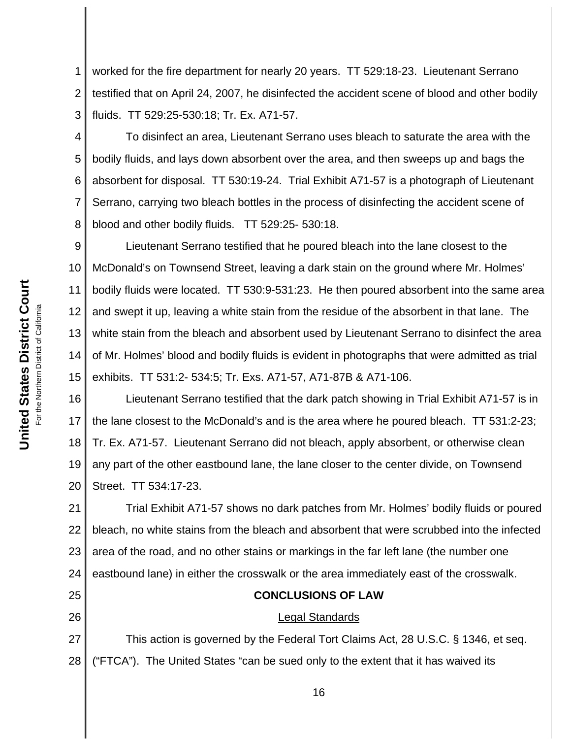1 2 3 worked for the fire department for nearly 20 years. TT 529:18-23. Lieutenant Serrano testified that on April 24, 2007, he disinfected the accident scene of blood and other bodily fluids. TT 529:25-530:18; Tr. Ex. A71-57.

4 5 6 7 8 To disinfect an area, Lieutenant Serrano uses bleach to saturate the area with the bodily fluids, and lays down absorbent over the area, and then sweeps up and bags the absorbent for disposal. TT 530:19-24. Trial Exhibit A71-57 is a photograph of Lieutenant Serrano, carrying two bleach bottles in the process of disinfecting the accident scene of blood and other bodily fluids. TT 529:25- 530:18.

9 10 11 12 13 14 15 Lieutenant Serrano testified that he poured bleach into the lane closest to the McDonald's on Townsend Street, leaving a dark stain on the ground where Mr. Holmes' bodily fluids were located. TT 530:9-531:23. He then poured absorbent into the same area and swept it up, leaving a white stain from the residue of the absorbent in that lane. The white stain from the bleach and absorbent used by Lieutenant Serrano to disinfect the area of Mr. Holmes' blood and bodily fluids is evident in photographs that were admitted as trial exhibits. TT 531:2- 534:5; Tr. Exs. A71-57, A71-87B & A71-106.

16 17 18 19 20 Lieutenant Serrano testified that the dark patch showing in Trial Exhibit A71-57 is in the lane closest to the McDonald's and is the area where he poured bleach. TT 531:2-23; Tr. Ex. A71-57. Lieutenant Serrano did not bleach, apply absorbent, or otherwise clean any part of the other eastbound lane, the lane closer to the center divide, on Townsend Street. TT 534:17-23.

21 22 23 24 Trial Exhibit A71-57 shows no dark patches from Mr. Holmes' bodily fluids or poured bleach, no white stains from the bleach and absorbent that were scrubbed into the infected area of the road, and no other stains or markings in the far left lane (the number one eastbound lane) in either the crosswalk or the area immediately east of the crosswalk.

# **CONCLUSIONS OF LAW**

#### Legal Standards

27 28 This action is governed by the Federal Tort Claims Act, 28 U.S.C. § 1346, et seq. ("FTCA"). The United States "can be sued only to the extent that it has waived its

25

26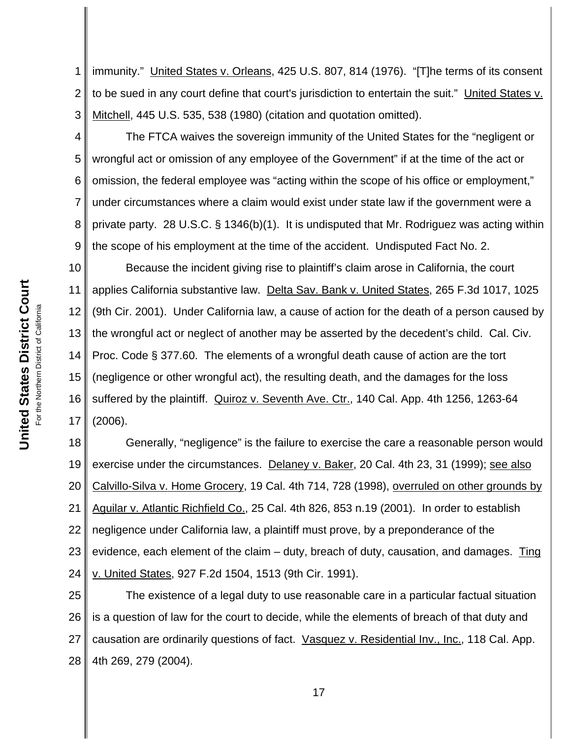For the Northern District of California

1 2 3 immunity." United States v. Orleans, 425 U.S. 807, 814 (1976). "[T]he terms of its consent to be sued in any court define that court's jurisdiction to entertain the suit." United States v. Mitchell, 445 U.S. 535, 538 (1980) (citation and quotation omitted).

4 5 6 7 8 9 The FTCA waives the sovereign immunity of the United States for the "negligent or wrongful act or omission of any employee of the Government" if at the time of the act or omission, the federal employee was "acting within the scope of his office or employment," under circumstances where a claim would exist under state law if the government were a private party. 28 U.S.C. § 1346(b)(1). It is undisputed that Mr. Rodriguez was acting within the scope of his employment at the time of the accident. Undisputed Fact No. 2.

10 11 12 13 14 15 16 17 Because the incident giving rise to plaintiff's claim arose in California, the court applies California substantive law. Delta Sav. Bank v. United States, 265 F.3d 1017, 1025 (9th Cir. 2001). Under California law, a cause of action for the death of a person caused by the wrongful act or neglect of another may be asserted by the decedent's child. Cal. Civ. Proc. Code § 377.60. The elements of a wrongful death cause of action are the tort (negligence or other wrongful act), the resulting death, and the damages for the loss suffered by the plaintiff. Quiroz v. Seventh Ave. Ctr., 140 Cal. App. 4th 1256, 1263-64 (2006).

18 19 20 21 22 23 24 Generally, "negligence" is the failure to exercise the care a reasonable person would exercise under the circumstances. Delaney v. Baker, 20 Cal. 4th 23, 31 (1999); see also Calvillo-Silva v. Home Grocery, 19 Cal. 4th 714, 728 (1998), overruled on other grounds by Aguilar v. Atlantic Richfield Co., 25 Cal. 4th 826, 853 n.19 (2001). In order to establish negligence under California law, a plaintiff must prove, by a preponderance of the evidence, each element of the claim – duty, breach of duty, causation, and damages. Ting v. United States, 927 F.2d 1504, 1513 (9th Cir. 1991).

25 26 27 28 The existence of a legal duty to use reasonable care in a particular factual situation is a question of law for the court to decide, while the elements of breach of that duty and causation are ordinarily questions of fact. Vasquez v. Residential Inv., Inc., 118 Cal. App. 4th 269, 279 (2004).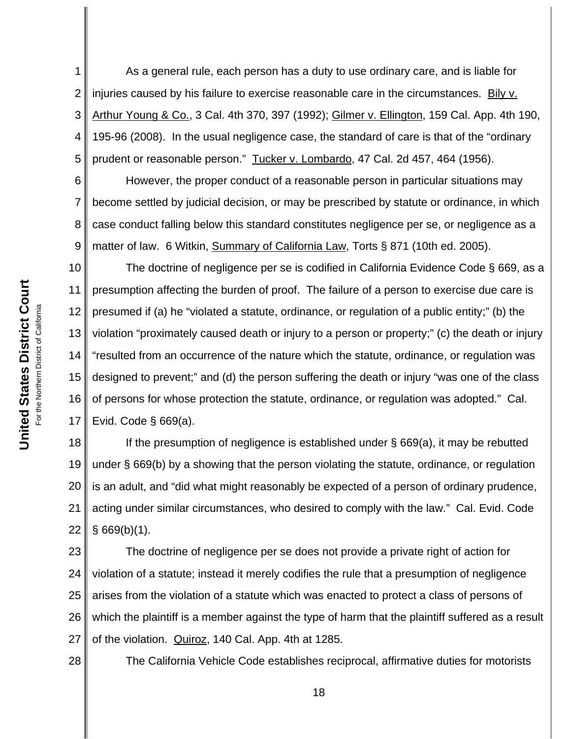1 2 3 4 5 As a general rule, each person has a duty to use ordinary care, and is liable for injuries caused by his failure to exercise reasonable care in the circumstances. Bily v. Arthur Young & Co., 3 Cal. 4th 370, 397 (1992); Gilmer v. Ellington, 159 Cal. App. 4th 190, 195-96 (2008). In the usual negligence case, the standard of care is that of the "ordinary prudent or reasonable person." Tucker v. Lombardo, 47 Cal. 2d 457, 464 (1956).

6 7 8 9 However, the proper conduct of a reasonable person in particular situations may become settled by judicial decision, or may be prescribed by statute or ordinance, in which case conduct falling below this standard constitutes negligence per se, or negligence as a matter of law. 6 Witkin, Summary of California Law, Torts § 871 (10th ed. 2005).

10 11 12 13 14 15 16 17 The doctrine of negligence per se is codified in California Evidence Code § 669, as a presumption affecting the burden of proof. The failure of a person to exercise due care is presumed if (a) he "violated a statute, ordinance, or regulation of a public entity;" (b) the violation "proximately caused death or injury to a person or property;" (c) the death or injury "resulted from an occurrence of the nature which the statute, ordinance, or regulation was designed to prevent;" and (d) the person suffering the death or injury "was one of the class of persons for whose protection the statute, ordinance, or regulation was adopted." Cal. Evid. Code § 669(a).

18 19 20 21 22 If the presumption of negligence is established under § 669(a), it may be rebutted under § 669(b) by a showing that the person violating the statute, ordinance, or regulation is an adult, and "did what might reasonably be expected of a person of ordinary prudence, acting under similar circumstances, who desired to comply with the law." Cal. Evid. Code  $§$  669(b)(1).

23 24 25 26 27 The doctrine of negligence per se does not provide a private right of action for violation of a statute; instead it merely codifies the rule that a presumption of negligence arises from the violation of a statute which was enacted to protect a class of persons of which the plaintiff is a member against the type of harm that the plaintiff suffered as a result of the violation. Quiroz, 140 Cal. App. 4th at 1285.

28

The California Vehicle Code establishes reciprocal, affirmative duties for motorists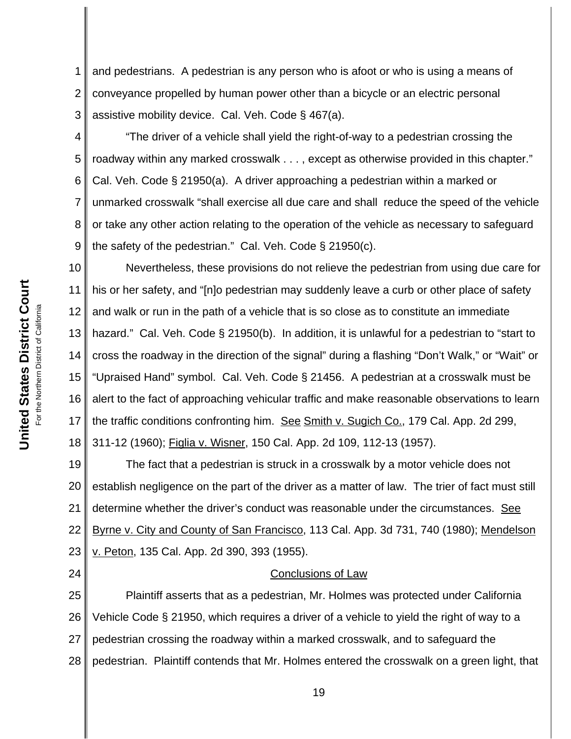1 2 3 and pedestrians. A pedestrian is any person who is afoot or who is using a means of conveyance propelled by human power other than a bicycle or an electric personal assistive mobility device. Cal. Veh. Code § 467(a).

4 5 6 7 8 9 "The driver of a vehicle shall yield the right-of-way to a pedestrian crossing the roadway within any marked crosswalk . . . , except as otherwise provided in this chapter." Cal. Veh. Code § 21950(a). A driver approaching a pedestrian within a marked or unmarked crosswalk "shall exercise all due care and shall reduce the speed of the vehicle or take any other action relating to the operation of the vehicle as necessary to safeguard the safety of the pedestrian." Cal. Veh. Code § 21950(c).

10 11 12 13 14 15 16 17 18 Nevertheless, these provisions do not relieve the pedestrian from using due care for his or her safety, and "[n]o pedestrian may suddenly leave a curb or other place of safety and walk or run in the path of a vehicle that is so close as to constitute an immediate hazard." Cal. Veh. Code § 21950(b). In addition, it is unlawful for a pedestrian to "start to cross the roadway in the direction of the signal" during a flashing "Don't Walk," or "Wait" or "Upraised Hand" symbol. Cal. Veh. Code § 21456. A pedestrian at a crosswalk must be alert to the fact of approaching vehicular traffic and make reasonable observations to learn the traffic conditions confronting him. See Smith v. Sugich Co., 179 Cal. App. 2d 299, 311-12 (1960); Figlia v. Wisner, 150 Cal. App. 2d 109, 112-13 (1957).

19 20 21 22 23 The fact that a pedestrian is struck in a crosswalk by a motor vehicle does not establish negligence on the part of the driver as a matter of law. The trier of fact must still determine whether the driver's conduct was reasonable under the circumstances. See Byrne v. City and County of San Francisco, 113 Cal. App. 3d 731, 740 (1980); Mendelson v. Peton, 135 Cal. App. 2d 390, 393 (1955).

## Conclusions of Law

25 26 27 28 Plaintiff asserts that as a pedestrian, Mr. Holmes was protected under California Vehicle Code § 21950, which requires a driver of a vehicle to yield the right of way to a pedestrian crossing the roadway within a marked crosswalk, and to safeguard the pedestrian. Plaintiff contends that Mr. Holmes entered the crosswalk on a green light, that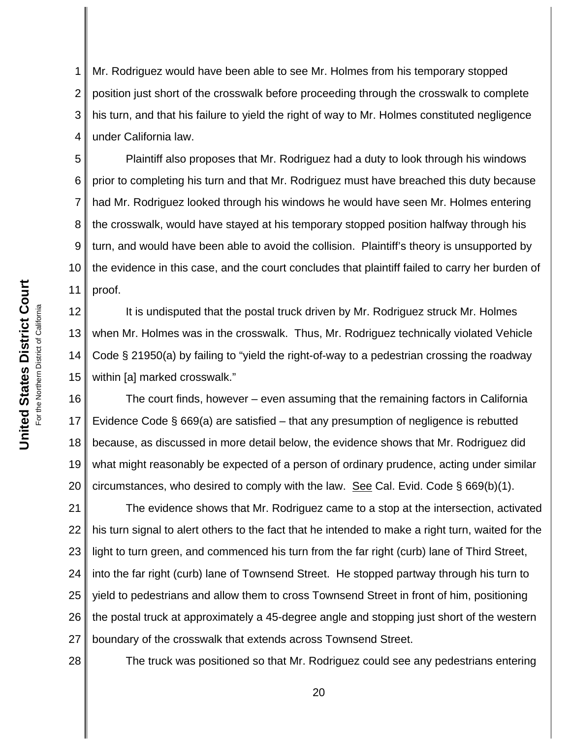1 2 3 4 Mr. Rodriguez would have been able to see Mr. Holmes from his temporary stopped position just short of the crosswalk before proceeding through the crosswalk to complete his turn, and that his failure to yield the right of way to Mr. Holmes constituted negligence under California law.

5 6 7 8 9 10 11 Plaintiff also proposes that Mr. Rodriguez had a duty to look through his windows prior to completing his turn and that Mr. Rodriguez must have breached this duty because had Mr. Rodriguez looked through his windows he would have seen Mr. Holmes entering the crosswalk, would have stayed at his temporary stopped position halfway through his turn, and would have been able to avoid the collision. Plaintiff's theory is unsupported by the evidence in this case, and the court concludes that plaintiff failed to carry her burden of proof.

12 13 14 15 It is undisputed that the postal truck driven by Mr. Rodriguez struck Mr. Holmes when Mr. Holmes was in the crosswalk. Thus, Mr. Rodriguez technically violated Vehicle Code § 21950(a) by failing to "yield the right-of-way to a pedestrian crossing the roadway within [a] marked crosswalk."

16 17 18 19 20 The court finds, however – even assuming that the remaining factors in California Evidence Code § 669(a) are satisfied – that any presumption of negligence is rebutted because, as discussed in more detail below, the evidence shows that Mr. Rodriguez did what might reasonably be expected of a person of ordinary prudence, acting under similar circumstances, who desired to comply with the law. See Cal. Evid. Code § 669(b)(1).

21 22 23 24 25 26 27 The evidence shows that Mr. Rodriguez came to a stop at the intersection, activated his turn signal to alert others to the fact that he intended to make a right turn, waited for the light to turn green, and commenced his turn from the far right (curb) lane of Third Street, into the far right (curb) lane of Townsend Street. He stopped partway through his turn to yield to pedestrians and allow them to cross Townsend Street in front of him, positioning the postal truck at approximately a 45-degree angle and stopping just short of the western boundary of the crosswalk that extends across Townsend Street.

28

The truck was positioned so that Mr. Rodriguez could see any pedestrians entering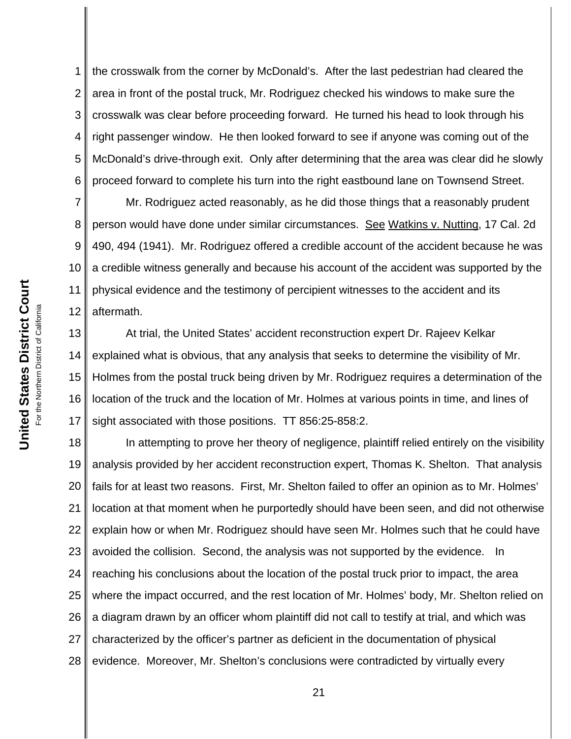1 2 3 4 5 6 the crosswalk from the corner by McDonald's. After the last pedestrian had cleared the area in front of the postal truck, Mr. Rodriguez checked his windows to make sure the crosswalk was clear before proceeding forward. He turned his head to look through his right passenger window. He then looked forward to see if anyone was coming out of the McDonald's drive-through exit. Only after determining that the area was clear did he slowly proceed forward to complete his turn into the right eastbound lane on Townsend Street.

7 8 9 10 11 12 Mr. Rodriguez acted reasonably, as he did those things that a reasonably prudent person would have done under similar circumstances. See Watkins v. Nutting, 17 Cal. 2d 490, 494 (1941). Mr. Rodriguez offered a credible account of the accident because he was a credible witness generally and because his account of the accident was supported by the physical evidence and the testimony of percipient witnesses to the accident and its aftermath.

13 14 15 16 17 At trial, the United States' accident reconstruction expert Dr. Rajeev Kelkar explained what is obvious, that any analysis that seeks to determine the visibility of Mr. Holmes from the postal truck being driven by Mr. Rodriguez requires a determination of the location of the truck and the location of Mr. Holmes at various points in time, and lines of sight associated with those positions. TT 856:25-858:2.

18 19 20 21 22 23 24 25 26 27 28 In attempting to prove her theory of negligence, plaintiff relied entirely on the visibility analysis provided by her accident reconstruction expert, Thomas K. Shelton. That analysis fails for at least two reasons. First, Mr. Shelton failed to offer an opinion as to Mr. Holmes' location at that moment when he purportedly should have been seen, and did not otherwise explain how or when Mr. Rodriguez should have seen Mr. Holmes such that he could have avoided the collision. Second, the analysis was not supported by the evidence. In reaching his conclusions about the location of the postal truck prior to impact, the area where the impact occurred, and the rest location of Mr. Holmes' body, Mr. Shelton relied on a diagram drawn by an officer whom plaintiff did not call to testify at trial, and which was characterized by the officer's partner as deficient in the documentation of physical evidence. Moreover, Mr. Shelton's conclusions were contradicted by virtually every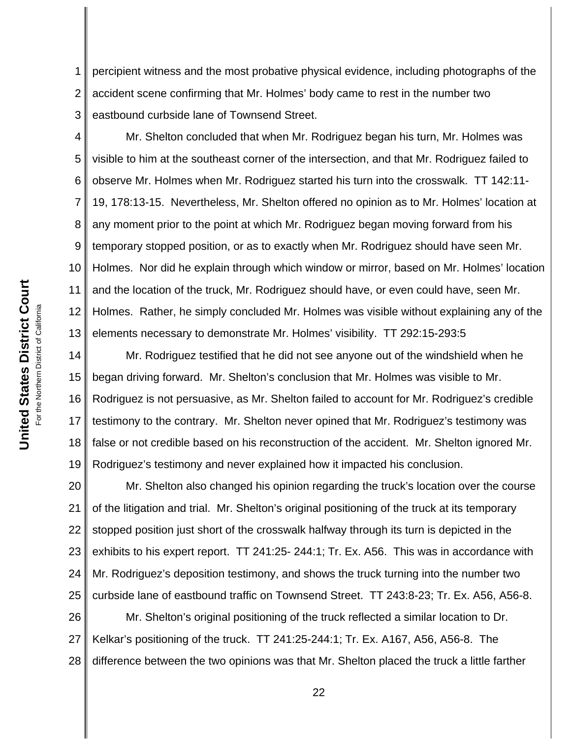1 2 3 percipient witness and the most probative physical evidence, including photographs of the accident scene confirming that Mr. Holmes' body came to rest in the number two eastbound curbside lane of Townsend Street.

4 5 6 7 8 9 10 11 12 13 Mr. Shelton concluded that when Mr. Rodriguez began his turn, Mr. Holmes was visible to him at the southeast corner of the intersection, and that Mr. Rodriguez failed to observe Mr. Holmes when Mr. Rodriguez started his turn into the crosswalk. TT 142:11- 19, 178:13-15. Nevertheless, Mr. Shelton offered no opinion as to Mr. Holmes' location at any moment prior to the point at which Mr. Rodriguez began moving forward from his temporary stopped position, or as to exactly when Mr. Rodriguez should have seen Mr. Holmes. Nor did he explain through which window or mirror, based on Mr. Holmes' location and the location of the truck, Mr. Rodriguez should have, or even could have, seen Mr. Holmes. Rather, he simply concluded Mr. Holmes was visible without explaining any of the elements necessary to demonstrate Mr. Holmes' visibility. TT 292:15-293:5

14 15 16 17 18 19 Mr. Rodriguez testified that he did not see anyone out of the windshield when he began driving forward. Mr. Shelton's conclusion that Mr. Holmes was visible to Mr. Rodriguez is not persuasive, as Mr. Shelton failed to account for Mr. Rodriguez's credible testimony to the contrary. Mr. Shelton never opined that Mr. Rodriguez's testimony was false or not credible based on his reconstruction of the accident. Mr. Shelton ignored Mr. Rodriguez's testimony and never explained how it impacted his conclusion.

20 21 22 23 24 25 Mr. Shelton also changed his opinion regarding the truck's location over the course of the litigation and trial. Mr. Shelton's original positioning of the truck at its temporary stopped position just short of the crosswalk halfway through its turn is depicted in the exhibits to his expert report. TT 241:25- 244:1; Tr. Ex. A56. This was in accordance with Mr. Rodriguez's deposition testimony, and shows the truck turning into the number two curbside lane of eastbound traffic on Townsend Street. TT 243:8-23; Tr. Ex. A56, A56-8.

26 27 28 Mr. Shelton's original positioning of the truck reflected a similar location to Dr. Kelkar's positioning of the truck. TT 241:25-244:1; Tr. Ex. A167, A56, A56-8. The difference between the two opinions was that Mr. Shelton placed the truck a little farther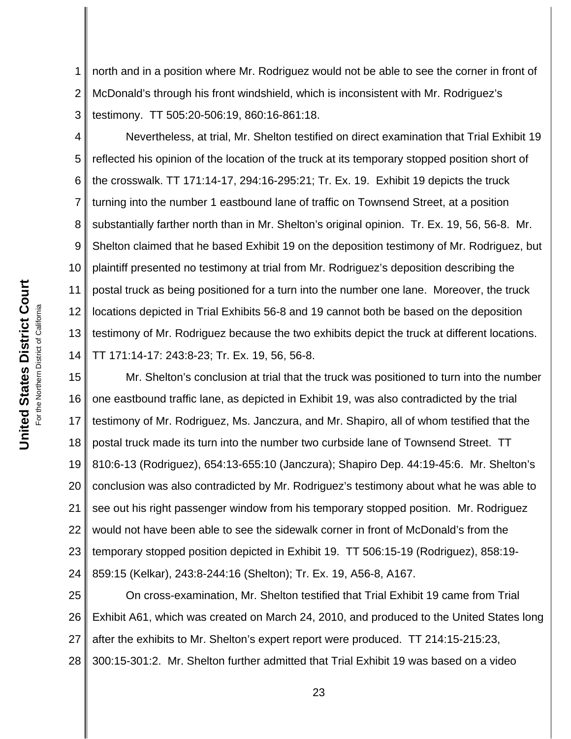1 2 3 north and in a position where Mr. Rodriguez would not be able to see the corner in front of McDonald's through his front windshield, which is inconsistent with Mr. Rodriguez's testimony. TT 505:20-506:19, 860:16-861:18.

4 5 6 7 8 9 10 11 12 13 14 Nevertheless, at trial, Mr. Shelton testified on direct examination that Trial Exhibit 19 reflected his opinion of the location of the truck at its temporary stopped position short of the crosswalk. TT 171:14-17, 294:16-295:21; Tr. Ex. 19. Exhibit 19 depicts the truck turning into the number 1 eastbound lane of traffic on Townsend Street, at a position substantially farther north than in Mr. Shelton's original opinion. Tr. Ex. 19, 56, 56-8. Mr. Shelton claimed that he based Exhibit 19 on the deposition testimony of Mr. Rodriguez, but plaintiff presented no testimony at trial from Mr. Rodriguez's deposition describing the postal truck as being positioned for a turn into the number one lane. Moreover, the truck locations depicted in Trial Exhibits 56-8 and 19 cannot both be based on the deposition testimony of Mr. Rodriguez because the two exhibits depict the truck at different locations. TT 171:14-17: 243:8-23; Tr. Ex. 19, 56, 56-8.

15 16 17 18 19 20 21 22 23 24 Mr. Shelton's conclusion at trial that the truck was positioned to turn into the number one eastbound traffic lane, as depicted in Exhibit 19, was also contradicted by the trial testimony of Mr. Rodriguez, Ms. Janczura, and Mr. Shapiro, all of whom testified that the postal truck made its turn into the number two curbside lane of Townsend Street. TT 810:6-13 (Rodriguez), 654:13-655:10 (Janczura); Shapiro Dep. 44:19-45:6. Mr. Shelton's conclusion was also contradicted by Mr. Rodriguez's testimony about what he was able to see out his right passenger window from his temporary stopped position. Mr. Rodriguez would not have been able to see the sidewalk corner in front of McDonald's from the temporary stopped position depicted in Exhibit 19. TT 506:15-19 (Rodriguez), 858:19- 859:15 (Kelkar), 243:8-244:16 (Shelton); Tr. Ex. 19, A56-8, A167.

25 26 27 28 On cross-examination, Mr. Shelton testified that Trial Exhibit 19 came from Trial Exhibit A61, which was created on March 24, 2010, and produced to the United States long after the exhibits to Mr. Shelton's expert report were produced. TT 214:15-215:23, 300:15-301:2. Mr. Shelton further admitted that Trial Exhibit 19 was based on a video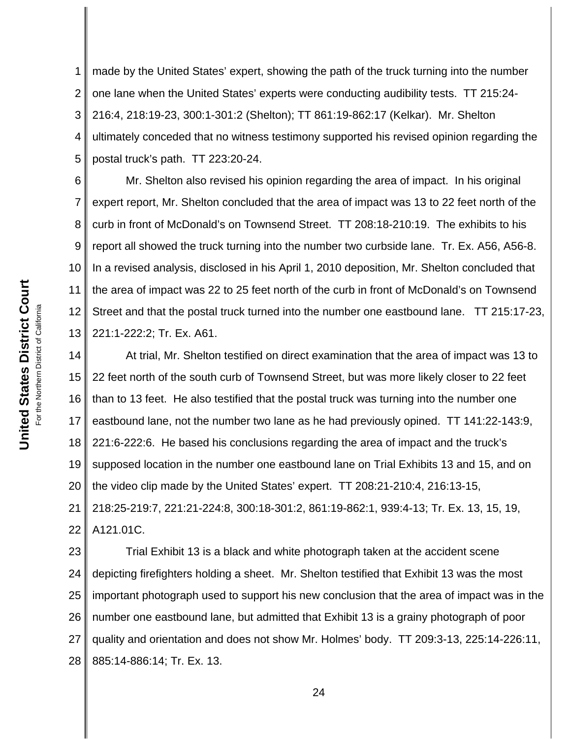1 2 3 4 5 made by the United States' expert, showing the path of the truck turning into the number one lane when the United States' experts were conducting audibility tests. TT 215:24- 216:4, 218:19-23, 300:1-301:2 (Shelton); TT 861:19-862:17 (Kelkar). Mr. Shelton ultimately conceded that no witness testimony supported his revised opinion regarding the postal truck's path. TT 223:20-24.

6 7 8 9 10 11 12 13 Mr. Shelton also revised his opinion regarding the area of impact. In his original expert report, Mr. Shelton concluded that the area of impact was 13 to 22 feet north of the curb in front of McDonald's on Townsend Street. TT 208:18-210:19. The exhibits to his report all showed the truck turning into the number two curbside lane. Tr. Ex. A56, A56-8. In a revised analysis, disclosed in his April 1, 2010 deposition, Mr. Shelton concluded that the area of impact was 22 to 25 feet north of the curb in front of McDonald's on Townsend Street and that the postal truck turned into the number one eastbound lane. TT 215:17-23, 221:1-222:2; Tr. Ex. A61.

14 15 16 17 18 19 20 21 22 At trial, Mr. Shelton testified on direct examination that the area of impact was 13 to 22 feet north of the south curb of Townsend Street, but was more likely closer to 22 feet than to 13 feet. He also testified that the postal truck was turning into the number one eastbound lane, not the number two lane as he had previously opined. TT 141:22-143:9, 221:6-222:6. He based his conclusions regarding the area of impact and the truck's supposed location in the number one eastbound lane on Trial Exhibits 13 and 15, and on the video clip made by the United States' expert. TT 208:21-210:4, 216:13-15, 218:25-219:7, 221:21-224:8, 300:18-301:2, 861:19-862:1, 939:4-13; Tr. Ex. 13, 15, 19, A121.01C.

23 24 25 26 27 28 Trial Exhibit 13 is a black and white photograph taken at the accident scene depicting firefighters holding a sheet. Mr. Shelton testified that Exhibit 13 was the most important photograph used to support his new conclusion that the area of impact was in the number one eastbound lane, but admitted that Exhibit 13 is a grainy photograph of poor quality and orientation and does not show Mr. Holmes' body. TT 209:3-13, 225:14-226:11, 885:14-886:14; Tr. Ex. 13.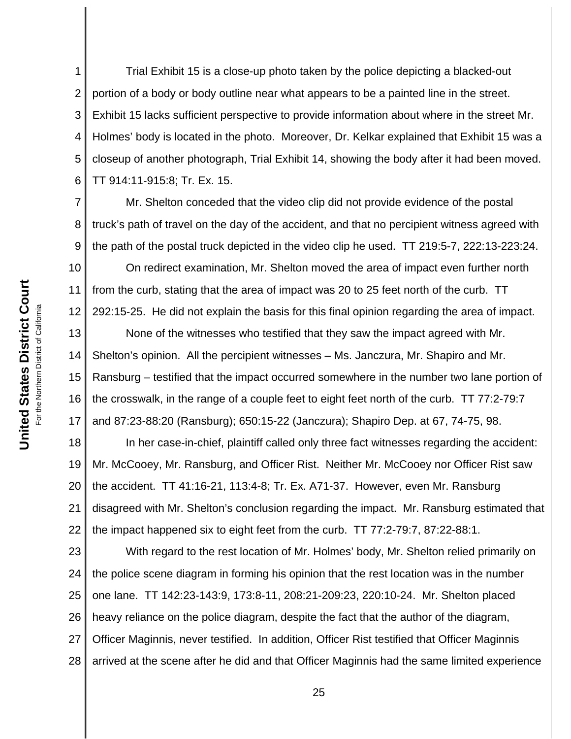1 2 3 4 5 6 Trial Exhibit 15 is a close-up photo taken by the police depicting a blacked-out portion of a body or body outline near what appears to be a painted line in the street. Exhibit 15 lacks sufficient perspective to provide information about where in the street Mr. Holmes' body is located in the photo. Moreover, Dr. Kelkar explained that Exhibit 15 was a closeup of another photograph, Trial Exhibit 14, showing the body after it had been moved. TT 914:11-915:8; Tr. Ex. 15.

7 8 9 Mr. Shelton conceded that the video clip did not provide evidence of the postal truck's path of travel on the day of the accident, and that no percipient witness agreed with the path of the postal truck depicted in the video clip he used. TT 219:5-7, 222:13-223:24.

10 11 12 On redirect examination, Mr. Shelton moved the area of impact even further north from the curb, stating that the area of impact was 20 to 25 feet north of the curb. TT 292:15-25. He did not explain the basis for this final opinion regarding the area of impact.

13 14 15 16 17 None of the witnesses who testified that they saw the impact agreed with Mr. Shelton's opinion. All the percipient witnesses – Ms. Janczura, Mr. Shapiro and Mr. Ransburg – testified that the impact occurred somewhere in the number two lane portion of the crosswalk, in the range of a couple feet to eight feet north of the curb. TT 77:2-79:7 and 87:23-88:20 (Ransburg); 650:15-22 (Janczura); Shapiro Dep. at 67, 74-75, 98.

18 19 20 21 22 In her case-in-chief, plaintiff called only three fact witnesses regarding the accident: Mr. McCooey, Mr. Ransburg, and Officer Rist. Neither Mr. McCooey nor Officer Rist saw the accident. TT 41:16-21, 113:4-8; Tr. Ex. A71-37. However, even Mr. Ransburg disagreed with Mr. Shelton's conclusion regarding the impact. Mr. Ransburg estimated that the impact happened six to eight feet from the curb. TT 77:2-79:7, 87:22-88:1.

23 24 25 26 27 28 With regard to the rest location of Mr. Holmes' body, Mr. Shelton relied primarily on the police scene diagram in forming his opinion that the rest location was in the number one lane. TT 142:23-143:9, 173:8-11, 208:21-209:23, 220:10-24. Mr. Shelton placed heavy reliance on the police diagram, despite the fact that the author of the diagram, Officer Maginnis, never testified. In addition, Officer Rist testified that Officer Maginnis arrived at the scene after he did and that Officer Maginnis had the same limited experience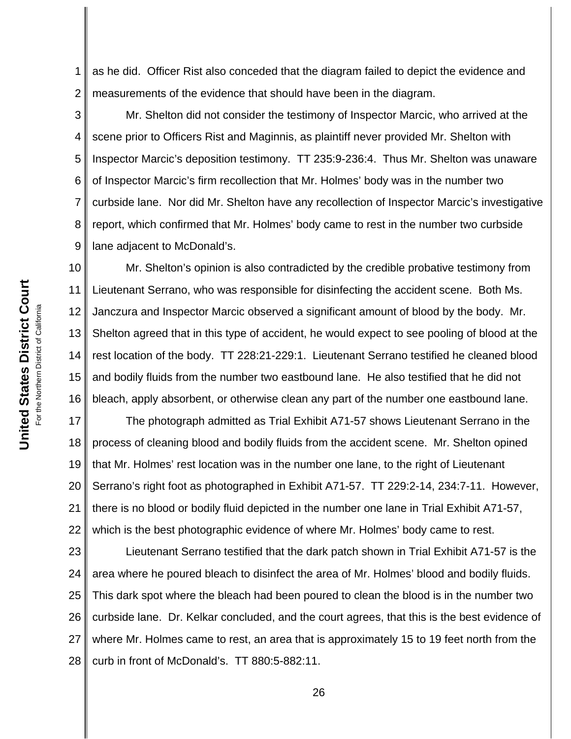1 2 as he did. Officer Rist also conceded that the diagram failed to depict the evidence and measurements of the evidence that should have been in the diagram.

3 4 5 6 7 8 9 Mr. Shelton did not consider the testimony of Inspector Marcic, who arrived at the scene prior to Officers Rist and Maginnis, as plaintiff never provided Mr. Shelton with Inspector Marcic's deposition testimony. TT 235:9-236:4. Thus Mr. Shelton was unaware of Inspector Marcic's firm recollection that Mr. Holmes' body was in the number two curbside lane. Nor did Mr. Shelton have any recollection of Inspector Marcic's investigative report, which confirmed that Mr. Holmes' body came to rest in the number two curbside lane adjacent to McDonald's.

10 11 12 13 14 15 16 Mr. Shelton's opinion is also contradicted by the credible probative testimony from Lieutenant Serrano, who was responsible for disinfecting the accident scene. Both Ms. Janczura and Inspector Marcic observed a significant amount of blood by the body. Mr. Shelton agreed that in this type of accident, he would expect to see pooling of blood at the rest location of the body. TT 228:21-229:1. Lieutenant Serrano testified he cleaned blood and bodily fluids from the number two eastbound lane. He also testified that he did not bleach, apply absorbent, or otherwise clean any part of the number one eastbound lane.

17 18 19 20 21 22 The photograph admitted as Trial Exhibit A71-57 shows Lieutenant Serrano in the process of cleaning blood and bodily fluids from the accident scene. Mr. Shelton opined that Mr. Holmes' rest location was in the number one lane, to the right of Lieutenant Serrano's right foot as photographed in Exhibit A71-57. TT 229:2-14, 234:7-11. However, there is no blood or bodily fluid depicted in the number one lane in Trial Exhibit A71-57, which is the best photographic evidence of where Mr. Holmes' body came to rest.

23 24 25 26 27 28 Lieutenant Serrano testified that the dark patch shown in Trial Exhibit A71-57 is the area where he poured bleach to disinfect the area of Mr. Holmes' blood and bodily fluids. This dark spot where the bleach had been poured to clean the blood is in the number two curbside lane. Dr. Kelkar concluded, and the court agrees, that this is the best evidence of where Mr. Holmes came to rest, an area that is approximately 15 to 19 feet north from the curb in front of McDonald's. TT 880:5-882:11.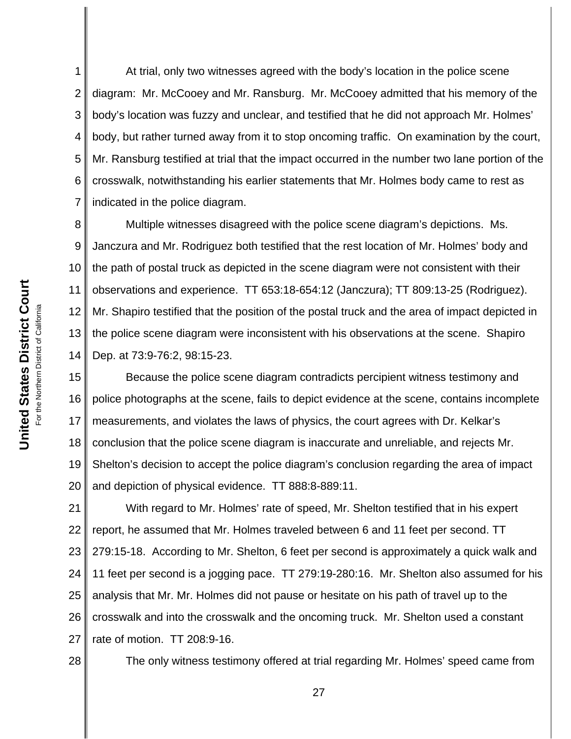1 2 3 4 5 6 7 At trial, only two witnesses agreed with the body's location in the police scene diagram: Mr. McCooey and Mr. Ransburg. Mr. McCooey admitted that his memory of the body's location was fuzzy and unclear, and testified that he did not approach Mr. Holmes' body, but rather turned away from it to stop oncoming traffic. On examination by the court, Mr. Ransburg testified at trial that the impact occurred in the number two lane portion of the crosswalk, notwithstanding his earlier statements that Mr. Holmes body came to rest as indicated in the police diagram.

8 9 10 11 12 13 14 Multiple witnesses disagreed with the police scene diagram's depictions. Ms. Janczura and Mr. Rodriguez both testified that the rest location of Mr. Holmes' body and the path of postal truck as depicted in the scene diagram were not consistent with their observations and experience. TT 653:18-654:12 (Janczura); TT 809:13-25 (Rodriguez). Mr. Shapiro testified that the position of the postal truck and the area of impact depicted in the police scene diagram were inconsistent with his observations at the scene. Shapiro Dep. at 73:9-76:2, 98:15-23.

15 16 17 18 19 20 Because the police scene diagram contradicts percipient witness testimony and police photographs at the scene, fails to depict evidence at the scene, contains incomplete measurements, and violates the laws of physics, the court agrees with Dr. Kelkar's conclusion that the police scene diagram is inaccurate and unreliable, and rejects Mr. Shelton's decision to accept the police diagram's conclusion regarding the area of impact and depiction of physical evidence. TT 888:8-889:11.

21 22 23 24 25 26 27 With regard to Mr. Holmes' rate of speed, Mr. Shelton testified that in his expert report, he assumed that Mr. Holmes traveled between 6 and 11 feet per second. TT 279:15-18. According to Mr. Shelton, 6 feet per second is approximately a quick walk and 11 feet per second is a jogging pace. TT 279:19-280:16. Mr. Shelton also assumed for his analysis that Mr. Mr. Holmes did not pause or hesitate on his path of travel up to the crosswalk and into the crosswalk and the oncoming truck. Mr. Shelton used a constant rate of motion. TT 208:9-16.

28

The only witness testimony offered at trial regarding Mr. Holmes' speed came from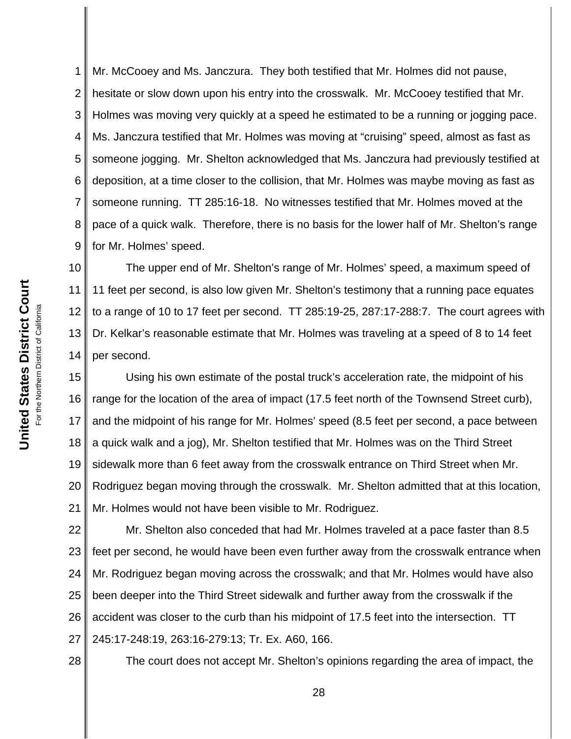1 2 3 4 5 6 7 8 9 Mr. McCooey and Ms. Janczura. They both testified that Mr. Holmes did not pause, hesitate or slow down upon his entry into the crosswalk. Mr. McCooey testified that Mr. Holmes was moving very quickly at a speed he estimated to be a running or jogging pace. Ms. Janczura testified that Mr. Holmes was moving at "cruising" speed, almost as fast as someone jogging. Mr. Shelton acknowledged that Ms. Janczura had previously testified at deposition, at a time closer to the collision, that Mr. Holmes was maybe moving as fast as someone running. TT 285:16-18. No witnesses testified that Mr. Holmes moved at the pace of a quick walk. Therefore, there is no basis for the lower half of Mr. Shelton's range for Mr. Holmes' speed.

10 11 12 13 14 The upper end of Mr. Shelton's range of Mr. Holmes' speed, a maximum speed of 11 feet per second, is also low given Mr. Shelton's testimony that a running pace equates to a range of 10 to 17 feet per second. TT 285:19-25, 287:17-288:7. The court agrees with Dr. Kelkar's reasonable estimate that Mr. Holmes was traveling at a speed of 8 to 14 feet per second.

15 16 17 18 19 20 21 Using his own estimate of the postal truck's acceleration rate, the midpoint of his range for the location of the area of impact (17.5 feet north of the Townsend Street curb), and the midpoint of his range for Mr. Holmes' speed (8.5 feet per second, a pace between a quick walk and a jog), Mr. Shelton testified that Mr. Holmes was on the Third Street sidewalk more than 6 feet away from the crosswalk entrance on Third Street when Mr. Rodriguez began moving through the crosswalk. Mr. Shelton admitted that at this location, Mr. Holmes would not have been visible to Mr. Rodriguez.

22 23 24 25 26 27 Mr. Shelton also conceded that had Mr. Holmes traveled at a pace faster than 8.5 feet per second, he would have been even further away from the crosswalk entrance when Mr. Rodriguez began moving across the crosswalk; and that Mr. Holmes would have also been deeper into the Third Street sidewalk and further away from the crosswalk if the accident was closer to the curb than his midpoint of 17.5 feet into the intersection. TT 245:17-248:19, 263:16-279:13; Tr. Ex. A60, 166.

28

The court does not accept Mr. Shelton's opinions regarding the area of impact, the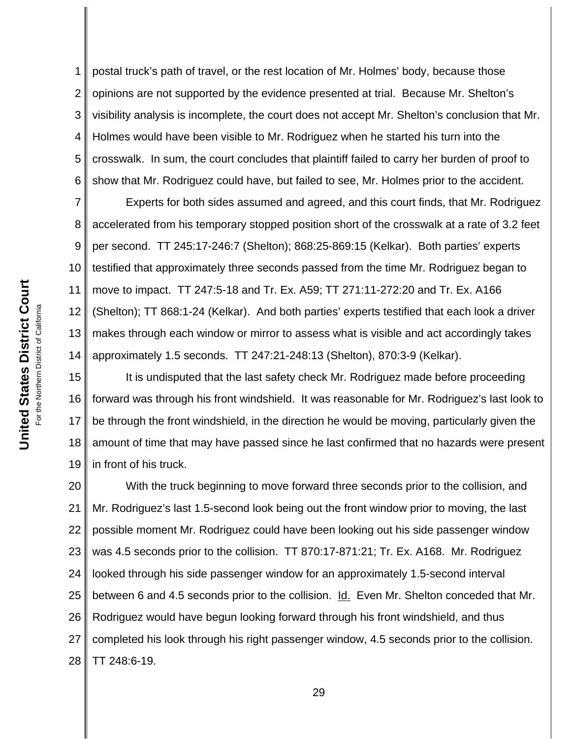1 2 3 4 5 6 postal truck's path of travel, or the rest location of Mr. Holmes' body, because those opinions are not supported by the evidence presented at trial. Because Mr. Shelton's visibility analysis is incomplete, the court does not accept Mr. Shelton's conclusion that Mr. Holmes would have been visible to Mr. Rodriguez when he started his turn into the crosswalk. In sum, the court concludes that plaintiff failed to carry her burden of proof to show that Mr. Rodriguez could have, but failed to see, Mr. Holmes prior to the accident.

7 8 9 10 11 12 13 14 Experts for both sides assumed and agreed, and this court finds, that Mr. Rodriguez accelerated from his temporary stopped position short of the crosswalk at a rate of 3.2 feet per second. TT 245:17-246:7 (Shelton); 868:25-869:15 (Kelkar). Both parties' experts testified that approximately three seconds passed from the time Mr. Rodriguez began to move to impact. TT 247:5-18 and Tr. Ex. A59; TT 271:11-272:20 and Tr. Ex. A166 (Shelton); TT 868:1-24 (Kelkar). And both parties' experts testified that each look a driver makes through each window or mirror to assess what is visible and act accordingly takes approximately 1.5 seconds. TT 247:21-248:13 (Shelton), 870:3-9 (Kelkar).

15 16 17 18 19 It is undisputed that the last safety check Mr. Rodriguez made before proceeding forward was through his front windshield. It was reasonable for Mr. Rodriguez's last look to be through the front windshield, in the direction he would be moving, particularly given the amount of time that may have passed since he last confirmed that no hazards were present in front of his truck.

20 21 22 23 24 25 26 27 28 With the truck beginning to move forward three seconds prior to the collision, and Mr. Rodriguez's last 1.5-second look being out the front window prior to moving, the last possible moment Mr. Rodriguez could have been looking out his side passenger window was 4.5 seconds prior to the collision. TT 870:17-871:21; Tr. Ex. A168. Mr. Rodriguez looked through his side passenger window for an approximately 1.5-second interval between 6 and 4.5 seconds prior to the collision. Id. Even Mr. Shelton conceded that Mr. Rodriguez would have begun looking forward through his front windshield, and thus completed his look through his right passenger window, 4.5 seconds prior to the collision. TT 248:6-19.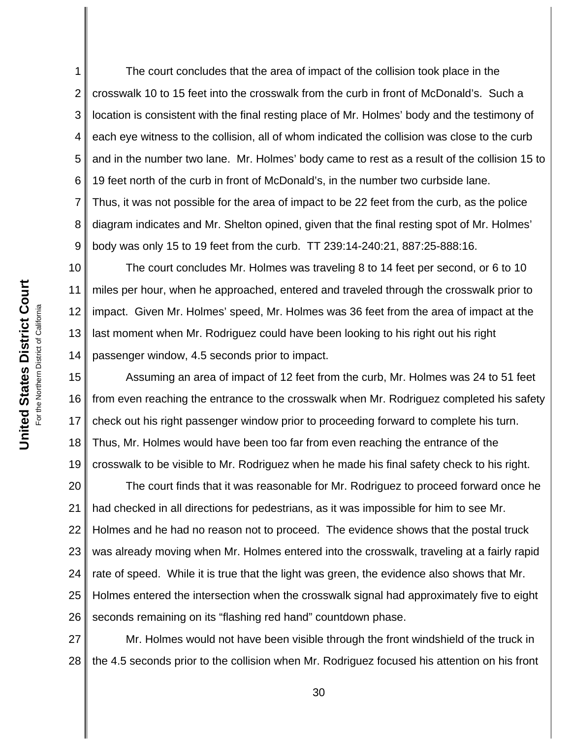1 2 3 4 5 6 7 8 9 The court concludes that the area of impact of the collision took place in the crosswalk 10 to 15 feet into the crosswalk from the curb in front of McDonald's. Such a location is consistent with the final resting place of Mr. Holmes' body and the testimony of each eye witness to the collision, all of whom indicated the collision was close to the curb and in the number two lane. Mr. Holmes' body came to rest as a result of the collision 15 to 19 feet north of the curb in front of McDonald's, in the number two curbside lane. Thus, it was not possible for the area of impact to be 22 feet from the curb, as the police diagram indicates and Mr. Shelton opined, given that the final resting spot of Mr. Holmes' body was only 15 to 19 feet from the curb. TT 239:14-240:21, 887:25-888:16.

10 11 12 13 14 The court concludes Mr. Holmes was traveling 8 to 14 feet per second, or 6 to 10 miles per hour, when he approached, entered and traveled through the crosswalk prior to impact. Given Mr. Holmes' speed, Mr. Holmes was 36 feet from the area of impact at the last moment when Mr. Rodriguez could have been looking to his right out his right passenger window, 4.5 seconds prior to impact.

15 16 17 18 19 Assuming an area of impact of 12 feet from the curb, Mr. Holmes was 24 to 51 feet from even reaching the entrance to the crosswalk when Mr. Rodriguez completed his safety check out his right passenger window prior to proceeding forward to complete his turn. Thus, Mr. Holmes would have been too far from even reaching the entrance of the crosswalk to be visible to Mr. Rodriguez when he made his final safety check to his right.

20 21 22 23 24 25 26 The court finds that it was reasonable for Mr. Rodriguez to proceed forward once he had checked in all directions for pedestrians, as it was impossible for him to see Mr. Holmes and he had no reason not to proceed. The evidence shows that the postal truck was already moving when Mr. Holmes entered into the crosswalk, traveling at a fairly rapid rate of speed. While it is true that the light was green, the evidence also shows that Mr. Holmes entered the intersection when the crosswalk signal had approximately five to eight seconds remaining on its "flashing red hand" countdown phase.

27 28 Mr. Holmes would not have been visible through the front windshield of the truck in the 4.5 seconds prior to the collision when Mr. Rodriguez focused his attention on his front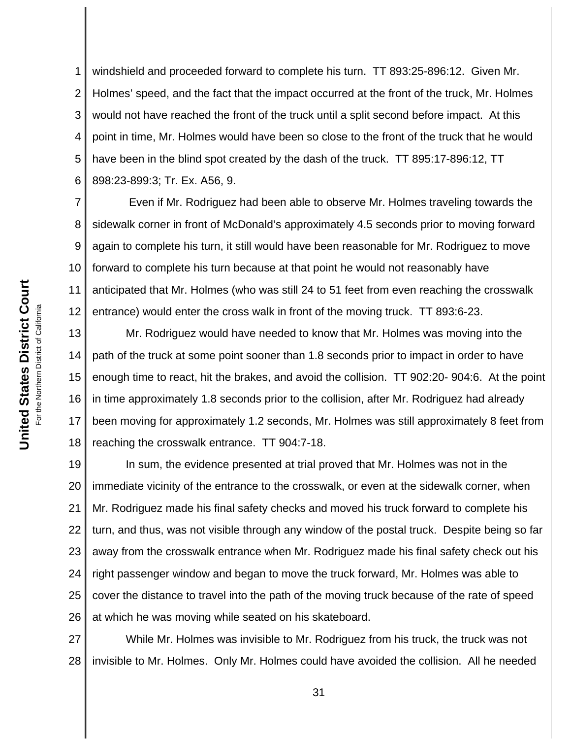1 2 3 4 5 6 windshield and proceeded forward to complete his turn. TT 893:25-896:12. Given Mr. Holmes' speed, and the fact that the impact occurred at the front of the truck, Mr. Holmes would not have reached the front of the truck until a split second before impact. At this point in time, Mr. Holmes would have been so close to the front of the truck that he would have been in the blind spot created by the dash of the truck. TT 895:17-896:12, TT 898:23-899:3; Tr. Ex. A56, 9.

7 8 9 10 11 12 Even if Mr. Rodriguez had been able to observe Mr. Holmes traveling towards the sidewalk corner in front of McDonald's approximately 4.5 seconds prior to moving forward again to complete his turn, it still would have been reasonable for Mr. Rodriguez to move forward to complete his turn because at that point he would not reasonably have anticipated that Mr. Holmes (who was still 24 to 51 feet from even reaching the crosswalk entrance) would enter the cross walk in front of the moving truck. TT 893:6-23.

13 14 15 16 17 18 Mr. Rodriguez would have needed to know that Mr. Holmes was moving into the path of the truck at some point sooner than 1.8 seconds prior to impact in order to have enough time to react, hit the brakes, and avoid the collision. TT 902:20- 904:6. At the point in time approximately 1.8 seconds prior to the collision, after Mr. Rodriguez had already been moving for approximately 1.2 seconds, Mr. Holmes was still approximately 8 feet from reaching the crosswalk entrance. TT 904:7-18.

19 20 21 22 23 24 25 26 In sum, the evidence presented at trial proved that Mr. Holmes was not in the immediate vicinity of the entrance to the crosswalk, or even at the sidewalk corner, when Mr. Rodriguez made his final safety checks and moved his truck forward to complete his turn, and thus, was not visible through any window of the postal truck. Despite being so far away from the crosswalk entrance when Mr. Rodriguez made his final safety check out his right passenger window and began to move the truck forward, Mr. Holmes was able to cover the distance to travel into the path of the moving truck because of the rate of speed at which he was moving while seated on his skateboard.

27 28 While Mr. Holmes was invisible to Mr. Rodriguez from his truck, the truck was not invisible to Mr. Holmes. Only Mr. Holmes could have avoided the collision. All he needed